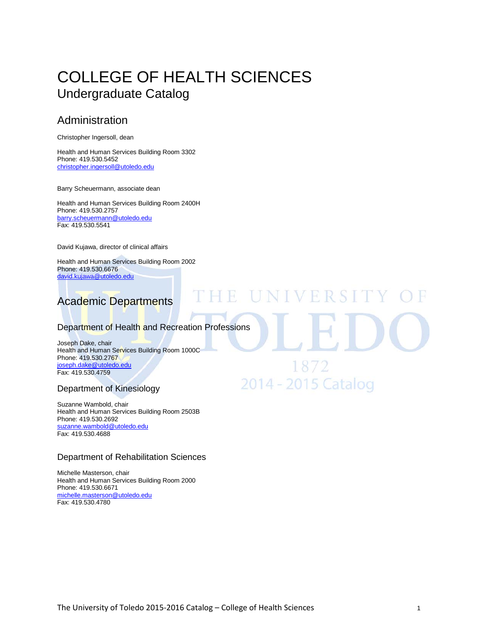# [COLLEGE OF H](http://utoledo.edu/education/)EALTH SCIENCES Undergraduate Catalog

## Administration

Christopher Ingersoll, dean

Health and Human Services Building Room 3302 Phone: 419.530.5452 [christopher.ingersoll@utoledo.edu](mailto:christopher.ingersoll@utoledo.edu)

Barry Scheuermann, associate dean

Health and Human Services Building Room 2400H Phone: 419.530.2757 [barry.scheuermann@utoledo.edu](mailto:barbaranne.benjamin@utoledo.edu) Fax: 419.530.5541

David Kujawa, director of clinical affairs

Health and Human Services Building Room 2002 Phone: 419.530.6676 [david.kujawa@utoledo.edu](mailto:david.kujawa@utoledo.edu)

# Academic Departments

#### Department of Health and Recreation Professions

HE UNIVERSI

18/2

2014 - 2015 Catalog

Joseph Dake, chair Health and Human Services Building Room 1000C Phone: 419.530.2767 [joseph.dake@utoledo.edu](mailto:joseph.dake@utoledo.edu) Fax: 419.530.4759

#### Department of Kinesiology

Suzanne Wambold, chair Health and Human Services Building Room 2503B Phone: 419.530.2692 [suzanne.wambold@utoledo.edu](mailto:barry.scheuermann@utoledo.edu) Fax: 419.530.4688

#### Department of Rehabilitation Sciences

Michelle Masterson, chair Health and Human Services Building Room 2000 Phone: 419.530.6671 [michelle.masterson@utoledo.edu](mailto:michelle.masterson@utoledo.edu) Fax: 419.530.4780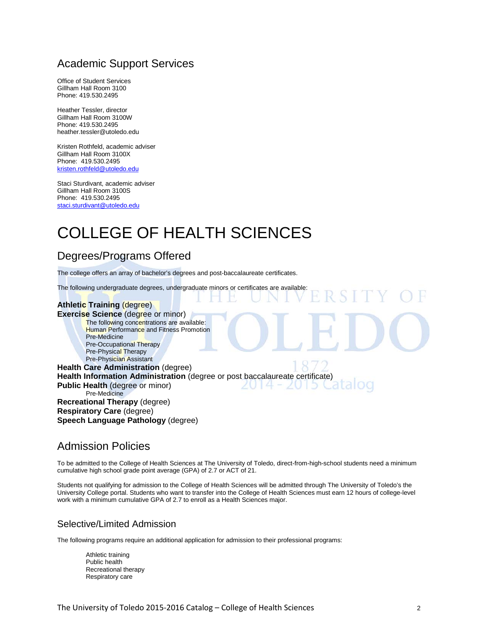## Academic Support Services

Office of Student Services Gillham Hall Room 3100 Phone: 419.530.2495

Heather Tessler, director Gillham Hall Room 3100W Phone: 419.530.2495 heather.tessler@utoledo.edu

Kristen Rothfeld, academic adviser Gillham Hall Room 3100X Phone: 419.530.2495 [kristen.rothfeld@utoledo.edu](mailto:kristen.rothfeld@utoledo.edu)

Staci Sturdivant, academic adviser Gillham Hall Room 3100S Phone: 419.530.2495 [staci.sturdivant@utoledo.edu](mailto:staci.sturdivant@utoledo.edu)

# [COLLEGE OF H](http://utoledo.edu/education/)EALTH SCIENCES

## Degrees/Programs Offered

The college offers an array of bachelor's degrees and post-baccalaureate certificates.

The following undergraduate degrees, undergraduate minors or certificates are available:

#### **Athletic Training** (degree) **Exercise Science** (degree or minor) The following concentrations are available: **Human Performance and Fitness Promotion** Pre-Medicine Pre-Occupational Therapy Pre-Physical Therapy Pre-Physician Assistant **Health Care Administration** (degree) **Health Information Administration** (degree or post baccalaureate certificate)<br>**Public Health (degree or minor) Public Health** (degree or minor) Pre-Medicine **Recreational Therapy** (degree) **Respiratory Care** (degree) **Speech Language Pathology** (degree)

## Admission Policies

To be admitted to the College of Health Sciences at The University of Toledo, direct-from-high-school students need a minimum cumulative high school grade point average (GPA) of 2.7 or ACT of 21.

Students not qualifying for admission to the College of Health Sciences will be admitted through The University of Toledo's the University College portal. Students who want to transfer into the College of Health Sciences must earn 12 hours of college-level work with a minimum cumulative GPA of 2.7 to enroll as a Health Sciences major.

#### Selective/Limited Admission

The following programs require an additional application for admission to their professional programs:

Athletic training Public health Recreational therapy Respiratory care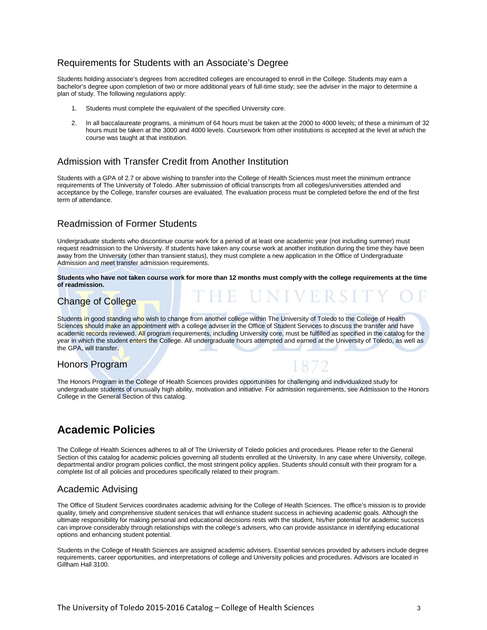#### Requirements for Students with an Associate's Degree

Students holding associate's degrees from accredited colleges are encouraged to enroll in the College. Students may earn a bachelor's degree upon completion of two or more additional years of full-time study; see the adviser in the major to determine a plan of study. The following regulations apply:

- 1. Students must complete the equivalent of the specified University core.
- 2. In all baccalaureate programs, a minimum of 64 hours must be taken at the 2000 to 4000 levels; of these a minimum of 32 hours must be taken at the 3000 and 4000 levels. Coursework from other institutions is accepted at the level at which the course was taught at that institution.

## Admission with Transfer Credit from Another Institution

Students with a GPA of 2.7 or above wishing to transfer into the College of Health Sciences must meet the minimum entrance requirements of The University of Toledo. After submission of official transcripts from all colleges/universities attended and acceptance by the College, transfer courses are evaluated. The evaluation process must be completed before the end of the first term of attendance.

#### Readmission of Former Students

Undergraduate students who discontinue course work for a period of at least one academic year (not including summer) must request readmission to the University. If students have taken any course work at another institution during the time they have been away from the University (other than transient status), they must complete a new application in the Office of Undergraduate Admission and meet transfer admission requirements.

**Students who have not taken course work for more than 12 months must comply with the college requirements at the time of readmission.**

## Change of College

Students in good standing who wish to change from another college within The University of Toledo to the College of Health Sciences should make an appointment with a college adviser in the Office of Student Services to discuss the transfer and have academic records reviewed. All program requirements, including University core, must be fulfilled as specified in the catalog for the year in which the student enters the College. All undergraduate hours attempted and earned at the University of Toledo, as well as the GPA, will transfer.

## Honors Program

The Honors Program in the College of Health Sciences provides opportunities for challenging and individualized study for undergraduate students of unusually high ability, motivation and initiative. For admission requirements, see Admission to the Honors College in the General Section of this catalog.

# **Academic Policies**

The College of Health Sciences adheres to all of The University of Toledo policies and procedures. Please refer to the General Section of this catalog for academic policies governing all students enrolled at the University. In any case where University, college, departmental and/or program policies conflict, the most stringent policy applies. Students should consult with their program for a complete list of all policies and procedures specifically related to their program.

## Academic Advising

The Office of Student Services coordinates academic advising for the College of Health Sciences. The office's mission is to provide quality, timely and comprehensive student services that will enhance student success in achieving academic goals. Although the ultimate responsibility for making personal and educational decisions rests with the student, his/her potential for academic success can improve considerably through relationships with the college's advisers, who can provide assistance in identifying educational options and enhancing student potential.

Students in the College of Health Sciences are assigned academic advisers. Essential services provided by advisers include degree requirements, career opportunities, and interpretations of college and University policies and procedures. Advisors are located in Gillham Hall 3100.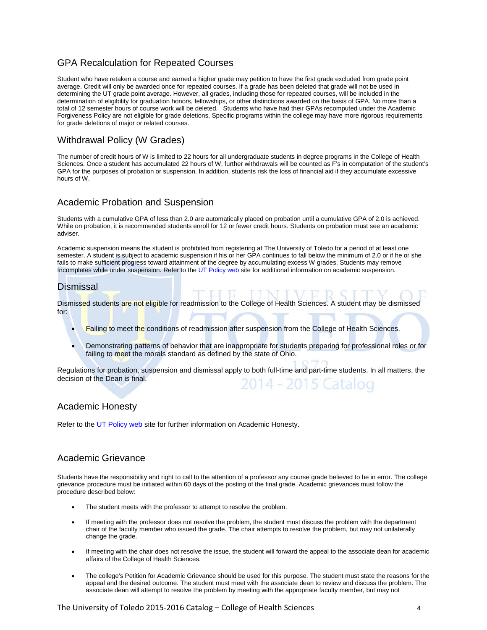## GPA Recalculation for Repeated Courses

Student who have retaken a course and earned a higher grade may petition to have the first grade excluded from grade point average. Credit will only be awarded once for repeated courses. If a grade has been deleted that grade will not be used in determining the UT grade point average. However, all grades, including those for repeated courses, will be included in the determination of eligibility for graduation honors, fellowships, or other distinctions awarded on the basis of GPA. No more than a total of 12 semester hours of course work will be deleted. Students who have had their GPAs recomputed under the Academic Forgiveness Policy are not eligible for grade deletions. Specific programs within the college may have more rigorous requirements for grade deletions of major or related courses.

#### Withdrawal Policy (W Grades)

The number of credit hours of W is limited to 22 hours for all undergraduate students in degree programs in the College of Health Sciences. Once a student has accumulated 22 hours of W, further withdrawals will be counted as F's in computation of the student's GPA for the purposes of probation or suspension. In addition, students risk the loss of financial aid if they accumulate excessive hours of W.

#### Academic Probation and Suspension

Students with a cumulative GPA of less than 2.0 are automatically placed on probation until a cumulative GPA of 2.0 is achieved. While on probation, it is recommended students enroll for 12 or fewer credit hours. Students on probation must see an academic adviser.

Academic suspension means the student is prohibited from registering at The University of Toledo for a period of at least one semester. A student is subject to academic suspension if his or her GPA continues to fall below the minimum of 2.0 or if he or she fails to make sufficient progress toward attainment of the degree by accumulating excess W grades. Students may remove Incompletes while under suspension. Refer to th[e UT Policy web](http://utoledo.edu/policies/) site for additional information on academic suspension.

#### Dismissal

Dismissed students are not eligible for readmission to the College of Health Sciences. A student may be dismissed for:

- Failing to meet the conditions of readmission after suspension from the College of Health Sciences.
- Demonstrating patterns of behavior that are inappropriate for students preparing for professional roles or for failing to meet the morals standard as defined by the state of Ohio.

Regulations for probation, suspension and dismissal apply to both full-time and part-time students. In all matters, the decision of the Dean is final. 4 - 2015 Catalog

#### Academic Honesty

Refer to th[e UT Policy web](http://utoledo.edu/policies/) site for further information on Academic Honesty.

#### Academic Grievance

Students have the responsibility and right to call to the attention of a professor any course grade believed to be in error. The college grievance procedure must be initiated within 60 days of the posting of the final grade. Academic grievances must follow the procedure described below:

- The student meets with the professor to attempt to resolve the problem.
- If meeting with the professor does not resolve the problem, the student must discuss the problem with the department chair of the faculty member who issued the grade. The chair attempts to resolve the problem, but may not unilaterally change the grade.
- If meeting with the chair does not resolve the issue, the student will forward the appeal to the associate dean for academic affairs of the College of Health Sciences.
- The college's Petition for Academic Grievance should be used for this purpose. The student must state the reasons for the appeal and the desired outcome. The student must meet with the associate dean to review and discuss the problem. The associate dean will attempt to resolve the problem by meeting with the appropriate faculty member, but may not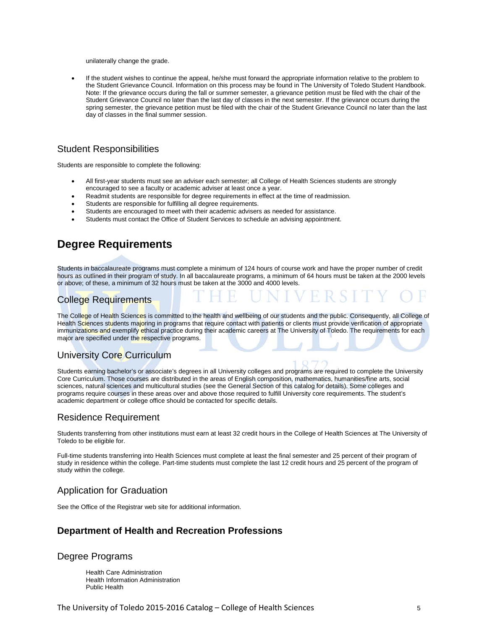unilaterally change the grade.

• If the student wishes to continue the appeal, he/she must forward the appropriate information relative to the problem to the Student Grievance Council. Information on this process may be found in The University of Toledo Student Handbook. Note: If the grievance occurs during the fall or summer semester, a grievance petition must be filed with the chair of the Student Grievance Council no later than the last day of classes in the next semester. If the grievance occurs during the spring semester, the grievance petition must be filed with the chair of the Student Grievance Council no later than the last day of classes in the final summer session.

#### Student Responsibilities

Students are responsible to complete the following:

- All first-year students must see an adviser each semester; all College of Health Sciences students are strongly encouraged to see a faculty or academic adviser at least once a year.
- Readmit students are responsible for degree requirements in effect at the time of readmission.
- Students are responsible for fulfilling all degree requirements.
- Students are encouraged to meet with their academic advisers as needed for assistance.
- Students must contact the Office of Student Services to schedule an advising appointment.

## **Degree Requirements**

Students in baccalaureate programs must complete a minimum of 124 hours of course work and have the proper number of credit hours as outlined in their program of study. In all baccalaureate programs, a minimum of 64 hours must be taken at the 2000 levels or above; of these, a minimum of 32 hours must be taken at the 3000 and 4000 levels.

#### College Requirements

The College of Health Sciences is committed to the health and wellbeing of our students and the public. Consequently, all College of Health Sciences students majoring in programs that require contact with patients or clients must provide verification of appropriate immunizations and exemplify ethical practice during their academic careers at The University of Toledo. The requirements for each major are specified under the respective programs.

#### University Core Curriculum

Students earning bachelor's or associate's degrees in all University colleges and programs are required to complete the University Core Curriculum. Those courses are distributed in the areas of English composition, mathematics, humanities/fine arts, social sciences, natural sciences and multicultural studies (see the General Section of this catalog for details). Some colleges and programs require courses in these areas over and above those required to fulfill University core requirements. The student's academic department or college office should be contacted for specific details.

#### Residence Requirement

Students transferring from other institutions must earn at least 32 credit hours in the College of Health Sciences at The University of Toledo to be eligible for.

Full-time students transferring into Health Sciences must complete at least the final semester and 25 percent of their program of study in residence within the college. Part-time students must complete the last 12 credit hours and 25 percent of the program of study within the college.

#### Application for Graduation

See the Office of the Registrar web site for additional information.

#### **Department of Health and Recreation Professions**

#### Degree Programs

Health Care Administration Health Information Administration Public Health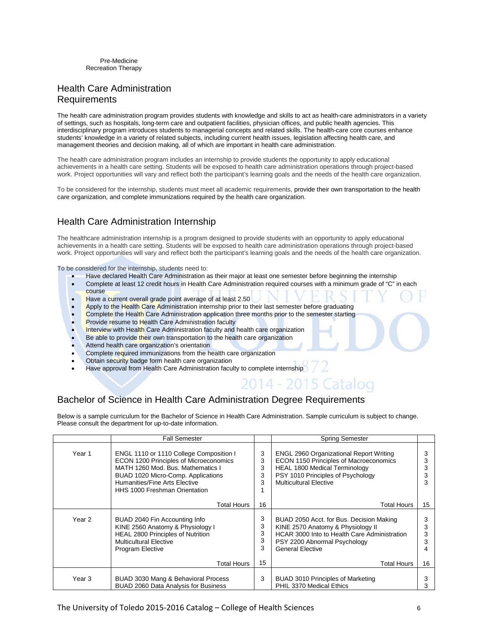Pre-Medicine Recreation Therapy

#### Health Care Administration Requirements

The health care administration program provides students with knowledge and skills to act as health-care administrators in a variety of settings, such as hospitals, long-term care and outpatient facilities, physician offices, and public health agencies. This interdisciplinary program introduces students to managerial concepts and related skills. The health-care core courses enhance students' knowledge in a variety of related subjects, including current health issues, legislation affecting health care, and management theories and decision making, all of which are important in health care administration.

The health care administration program includes an internship to provide students the opportunity to apply educational achievements in a health care setting. Students will be exposed to health care administration operations through project-based work. Project opportunities will vary and reflect both the participant's learning goals and the needs of the health care organization.

To be considered for the internship, students must meet all academic requirements, provide their own transportation to the health care organization, and complete immunizations required by the health care organization.

## Health Care Administration Internship

The healthcare administration internship is a program designed to provide students with an opportunity to apply educational achievements in a health care setting. Students will be exposed to health care administration operations through project-based work. Project opportunities will vary and reflect both the participant's learning goals and the needs of the health care organization.

To be considered for the internship, students need to:

- Have declared Health Care Administration as their major at least one semester before beginning the internship
- Complete at least 12 credit hours in Health Care Administration required courses with a minimum grade of "C" in each course
- Have a current overall grade point average of at least 2.50
- Apply to the Health Care Administration internship prior to their last semester before graduating
- Complete the Health Care Administration application three months prior to the semester starting
- Provide resume to Health Care Administration faculty
- **Interview** with Health Care Administration faculty and health care organization
- Be able to provide their own transportation to the health care organization
- Attend health care organization's orientation
- Complete required immunizations from the health care organization
- Obtain security badge form health care organization
- Have approval from Health Care Administration faculty to complete internship

# 14 - 2015 Catalog Bachelor of Science in Health Care Administration Degree Requirements

Below is a sample curriculum for the Bachelor of Science in Health Care Administration. Sample curriculum is subject to change. Please consult the department for up-to-date information.

|        | <b>Fall Semester</b>                                                                                                                                                                                                                         |                       | <b>Spring Semester</b>                                                                                                                                                                          |        |
|--------|----------------------------------------------------------------------------------------------------------------------------------------------------------------------------------------------------------------------------------------------|-----------------------|-------------------------------------------------------------------------------------------------------------------------------------------------------------------------------------------------|--------|
| Year 1 | ENGL 1110 or 1110 College Composition I<br><b>ECON 1200 Principles of Microeconomics</b><br>MATH 1260 Mod. Bus. Mathematics I<br>BUAD 1020 Micro-Comp. Applications<br>Humanities/Fine Arts Elective<br><b>HHS 1000 Freshman Orientation</b> | 3<br>3<br>3<br>3<br>3 | <b>ENGL 2960 Organizational Report Writing</b><br>ECON 1150 Principles of Macroeconomics<br>HEAL 1800 Medical Terminology<br>PSY 1010 Principles of Psychology<br><b>Multicultural Elective</b> | 3<br>3 |
|        | Total Hours                                                                                                                                                                                                                                  | 16                    | <b>Total Hours</b>                                                                                                                                                                              | 15     |
| Year 2 | BUAD 2040 Fin Accounting Info<br>KINE 2560 Anatomy & Physiology I<br>HEAL 2800 Principles of Nutrition<br><b>Multicultural Elective</b><br><b>Program Elective</b>                                                                           | 3<br>3<br>3<br>3<br>3 | BUAD 2050 Acct. for Bus. Decision Making<br>KINE 2570 Anatomy & Physiology II<br>HCAR 3000 Into to Health Care Administration<br>PSY 2200 Abnormal Psychology<br><b>General Elective</b>        | 3<br>3 |
|        | Total Hours                                                                                                                                                                                                                                  | 15                    | <b>Total Hours</b>                                                                                                                                                                              | 16     |
| Year 3 | BUAD 3030 Mang & Behavioral Process<br>BUAD 2060 Data Analysis for Business                                                                                                                                                                  | 3                     | BUAD 3010 Principles of Marketing<br>PHIL 3370 Medical Ethics                                                                                                                                   | 3      |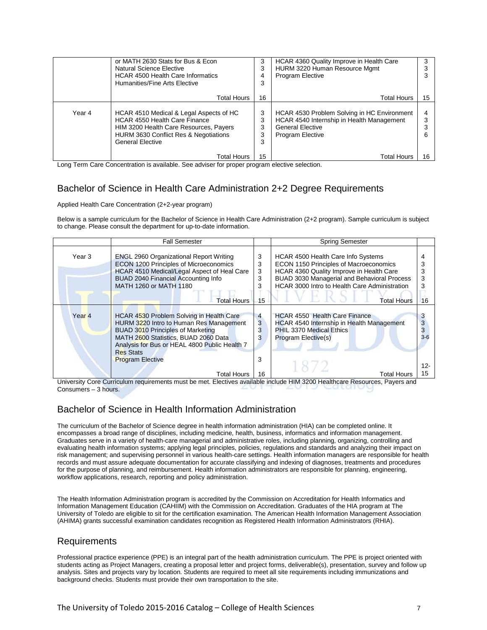|        | or MATH 2630 Stats for Bus & Econ<br>Natural Science Elective<br><b>HCAR 4500 Health Care Informatics</b><br>Humanities/Fine Arts Elective                                                    | 3<br>3<br>4<br>3      | HCAR 4360 Quality Improve in Health Care<br>HURM 3220 Human Resource Mgmt<br><b>Program Elective</b>                                           |    |
|--------|-----------------------------------------------------------------------------------------------------------------------------------------------------------------------------------------------|-----------------------|------------------------------------------------------------------------------------------------------------------------------------------------|----|
|        | Total Hours                                                                                                                                                                                   | 16                    | Total Hours                                                                                                                                    | 15 |
| Year 4 | HCAR 4510 Medical & Legal Aspects of HC<br><b>HCAR 4550 Health Care Finance</b><br>HIM 3200 Health Care Resources, Payers<br>HURM 3630 Conflict Res & Negotiations<br><b>General Elective</b> | 3<br>3<br>3<br>3<br>3 | HCAR 4530 Problem Solving in HC Environment<br>HCAR 4540 Internship in Health Management<br><b>General Elective</b><br><b>Program Elective</b> |    |
|        | Total Hours                                                                                                                                                                                   | 15                    | Total Hours                                                                                                                                    | 16 |

Long Term Care Concentration is available. See adviser for proper program elective selection.

## Bachelor of Science in Health Care Administration 2+2 Degree Requirements

Applied Health Care Concentration (2+2-year program)

Below is a sample curriculum for the Bachelor of Science in Health Care Administration (2+2 program). Sample curriculum is subject to change. Please consult the department for up-to-date information.

|                   | <b>Fall Semester</b>                                                                                                                                                                                                                                             |                       | <b>Spring Semester</b>                                                                                                                                                                                                   |                               |
|-------------------|------------------------------------------------------------------------------------------------------------------------------------------------------------------------------------------------------------------------------------------------------------------|-----------------------|--------------------------------------------------------------------------------------------------------------------------------------------------------------------------------------------------------------------------|-------------------------------|
| Year 3            | <b>ENGL 2960 Organizational Report Writing</b><br><b>ECON 1200 Principles of Microeconomics</b><br>HCAR 4510 Medical/Legal Aspect of Heal Care<br><b>BUAD 2040 Financial Accounting Info</b><br>MATH 1260 or MATH 1180                                           | 3<br>3<br>3<br>3<br>3 | HCAR 4500 Health Care Info Systems<br>ECON 1150 Principles of Macroeconomics<br>HCAR 4360 Quality Improve in Health Care<br>BUAD 3030 Managerial and Behavioral Process<br>HCAR 3000 Intro to Health Care Administration | 3<br>3<br>3                   |
|                   | <b>Total Hours</b>                                                                                                                                                                                                                                               | 15                    | <b>Total Hours</b>                                                                                                                                                                                                       | 16                            |
| Year <sub>4</sub> | HCAR 4530 Problem Solving in Health Care<br>HURM 3220 Intro to Human Res Management<br>BUAD 3010 Principles of Marketing<br>MATH 2600 Statistics, BUAD 2060 Data<br>Analysis for Bus or HEAL 4800 Public Health 7<br><b>Res Stats</b><br><b>Program Elective</b> | 4<br>3<br>3<br>3<br>3 | <b>HCAR 4550 Health Care Finance</b><br>HCAR 4540 Internship in Health Management<br>PHIL 3370 Medical Ethics<br>Program Elective(s)                                                                                     | 3<br>3<br>3<br>$3 - 6$<br>12- |
| .                 | Total Hours                                                                                                                                                                                                                                                      | 16                    | Total Hours<br>$1.1151$ concert 1.1 $1.1$                                                                                                                                                                                | 15                            |

University Core Curriculum requirements must be met. Electives available include HIM 3200 Healthcare Resources, Payers and Consumers – 3 hours.

## Bachelor of Science in Health Information Administration

The curriculum of the Bachelor of Science degree in health information administration (HIA) can be completed online. It encompasses a broad range of disciplines, including medicine, health, business, informatics and information management. Graduates serve in a variety of health-care managerial and administrative roles, including planning, organizing, controlling and evaluating health information systems; applying legal principles, policies, regulations and standards and analyzing their impact on risk management; and supervising personnel in various health-care settings. Health information managers are responsible for health records and must assure adequate documentation for accurate classifying and indexing of diagnoses, treatments and procedures for the purpose of planning, and reimbursement. Health information administrators are responsible for planning, engineering, workflow applications, research, reporting and policy administration.

The Health Information Administration program is accredited by the Commission on Accreditation for Health Informatics and Information Management Education (CAHIIM) with the Commission on Accreditation. Graduates of the HIA program at The University of Toledo are eligible to sit for the certification examination. The American Health Information Management Association (AHIMA) grants successful examination candidates recognition as Registered Health Information Administrators (RHIA).

## Requirements

Professional practice experience (PPE) is an integral part of the health administration curriculum. The PPE is project oriented with students acting as Project Managers, creating a proposal letter and project forms, deliverable(s), presentation, survey and follow up analysis. Sites and projects vary by location. Students are required to meet all site requirements including immunizations and background checks. Students must provide their own transportation to the site.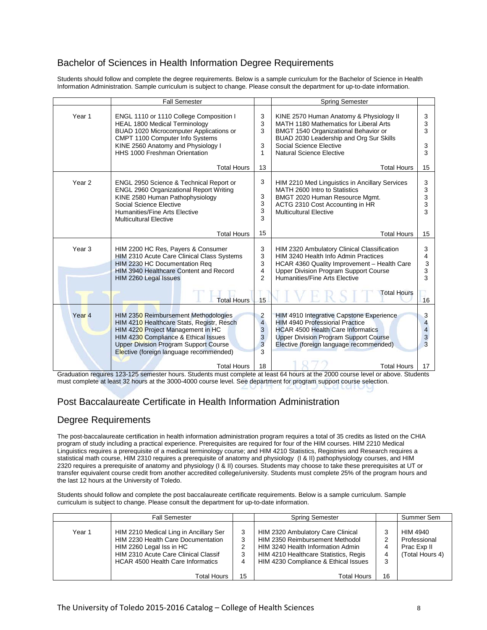## Bachelor of Sciences in Health Information Degree Requirements

Students should follow and complete the degree requirements. Below is a sample curriculum for the Bachelor of Science in Health Information Administration. Sample curriculum is subject to change. Please consult the department for up-to-date information.

|                   | <b>Fall Semester</b>                                                                                                                                                                                                                                                            |                                                                     | Spring Semester                                                                                                                                                                                                                                |                             |
|-------------------|---------------------------------------------------------------------------------------------------------------------------------------------------------------------------------------------------------------------------------------------------------------------------------|---------------------------------------------------------------------|------------------------------------------------------------------------------------------------------------------------------------------------------------------------------------------------------------------------------------------------|-----------------------------|
| Year 1            | ENGL 1110 or 1110 College Composition I<br><b>HEAL 1800 Medical Terminology</b><br>BUAD 1020 Microcomputer Applications or<br>CMPT 1100 Computer Info Systems<br>KINE 2560 Anatomy and Physiology I<br>HHS 1000 Freshman Orientation                                            | 3<br>3<br>3<br>3<br>1                                               | KINE 2570 Human Anatomy & Physiology II<br>MATH 1180 Mathematics for Liberal Arts<br>BMGT 1540 Organizational Behavior or<br>BUAD 2030 Leadership and Org Sur Skills<br>Social Science Elective<br>Natural Science Elective                    | 3<br>3<br>3<br>3<br>3       |
|                   | <b>Total Hours</b>                                                                                                                                                                                                                                                              | 13                                                                  | <b>Total Hours</b>                                                                                                                                                                                                                             | 15                          |
| Year <sub>2</sub> | ENGL 2950 Science & Technical Report or<br>ENGL 2960 Organizational Report Writing<br>KINE 2580 Human Pathophysiology<br>Social Science Elective<br>Humanities/Fine Arts Elective<br><b>Multicultural Elective</b>                                                              | 3<br>3<br>3<br>3<br>3                                               | HIM 2210 Med Linguistics in Ancillary Services<br>MATH 2600 Intro to Statistics<br>BMGT 2020 Human Resource Mgmt.<br>ACTG 2310 Cost Accounting in HR<br><b>Multicultural Elective</b>                                                          | 3<br>3<br>3<br>3<br>3       |
|                   | <b>Total Hours</b>                                                                                                                                                                                                                                                              | 15                                                                  | <b>Total Hours</b>                                                                                                                                                                                                                             | 15                          |
| Year <sub>3</sub> | HIM 2200 HC Res, Payers & Consumer<br>HIM 2310 Acute Care Clinical Class Systems<br>HIM 2230 HC Documentation Req<br>HIM 3940 Healthcare Content and Record<br>HIM 2260 Legal Issues                                                                                            | 3<br>3<br>3<br>4<br>$\overline{2}$                                  | HIM 2320 Ambulatory Clinical Classification<br>HIM 3240 Health Info Admin Practices<br>HCAR 4360 Quality Improvement - Health Care<br><b>Upper Division Program Support Course</b><br>Humanities/Fine Arts Elective                            | 3<br>4<br>3<br>3<br>3       |
|                   | <b>Total Hours</b>                                                                                                                                                                                                                                                              | 15                                                                  | <b>Total Hours</b>                                                                                                                                                                                                                             | 16                          |
| Year <sub>4</sub> | HIM 2350 Reimbursement Methodologies<br>HIM 4210 Healthcare Stats, Registr, Resch<br>HIM 4220 Project Management in HC<br>HIM 4230 Compliance & Ethical Issues<br><b>Upper Division Program Support Course</b><br>Elective (foreign language recommended)<br><b>Total Hours</b> | $\overline{\mathbf{c}}$<br>$\overline{4}$<br>3<br>3<br>3<br>3<br>18 | HIM 4910 Integrative Capstone Experience<br><b>HIM 4940 Professional Practice</b><br><b>HCAR 4500 Health Care Informatics</b><br><b>Upper Division Program Support Course</b><br>Elective (foreign language recommended)<br><b>Total Hours</b> | 3<br>4<br>4<br>3<br>3<br>17 |

Graduation requires 123-125 semester hours. Students must complete at least 64 hours at the 2000 course level or above. Students must complete at least 32 hours at the 3000-4000 course level. See department for program support course selection.

## Post Baccalaureate Certificate in Health Information Administration

#### Degree Requirements

The post-baccalaureate certification in health information administration program requires a total of 35 credits as listed on the CHIA program of study including a practical experience. Prerequisites are required for four of the HIM courses. HIM 2210 Medical Linguistics requires a prerequisite of a medical terminology course; and HIM 4210 Statistics, Registries and Research requires a statistical math course, HIM 2310 requires a prerequisite of anatomy and physiology (I & II) pathophysiology courses, and HIM 2320 requires a prerequisite of anatomy and physiology (I & II) courses. Students may choose to take these prerequisites at UT or transfer equivalent course credit from another accredited college/university. Students must complete 25% of the program hours and the last 12 hours at the University of Toledo.

Students should follow and complete the post baccalaureate certificate requirements. Below is a sample curriculum. Sample curriculum is subject to change. Please consult the department for up-to-date information.

|        | <b>Fall Semester</b>                                                                                                                                                                         |                  | <b>Spring Semester</b>                                                                                                                                                                     |                  | Summer Sem                                                 |
|--------|----------------------------------------------------------------------------------------------------------------------------------------------------------------------------------------------|------------------|--------------------------------------------------------------------------------------------------------------------------------------------------------------------------------------------|------------------|------------------------------------------------------------|
| Year 1 | HIM 2210 Medical Ling in Ancillary Ser<br>HIM 2230 Health Care Documentation<br>HIM 2260 Legal Iss in HC<br>HIM 2310 Acute Care Clinical Classif<br><b>HCAR 4500 Health Care Informatics</b> | 3<br>3<br>3<br>4 | HIM 2320 Ambulatory Care Clinical<br>HIM 2350 Reimbursement Methodol<br>HIM 3240 Health Information Admin<br>HIM 4210 Healthcare Statistics, Regis<br>HIM 4230 Compliance & Ethical Issues | 2<br>4<br>4<br>3 | HIM 4940<br>Professional<br>Prac Exp II<br>(Total Hours 4) |
|        | Total Hours                                                                                                                                                                                  | 15               | <b>Total Hours</b>                                                                                                                                                                         | 16               |                                                            |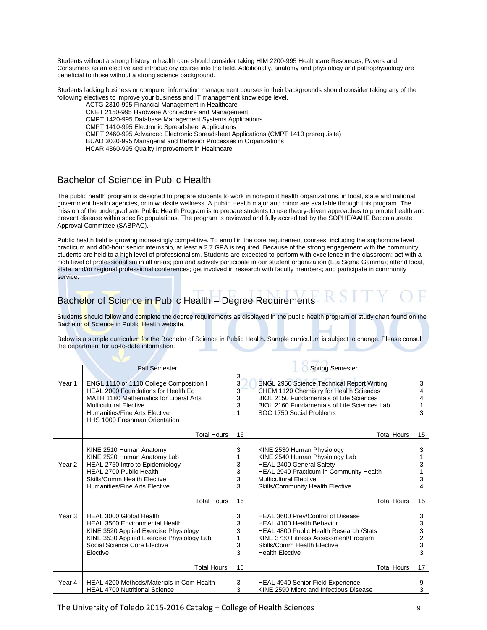Students without a strong history in health care should consider taking HIM 2200-995 Healthcare Resources, Payers and Consumers as an elective and introductory course into the field. Additionally, anatomy and physiology and pathophysiology are beneficial to those without a strong science background.

Students lacking business or computer information management courses in their backgrounds should consider taking any of the following electives to improve your business and IT management knowledge level.

ACTG 2310-995 Financial Management in Healthcare

CNET 2150-995 Hardware Architecture and Management

CMPT 1420-995 Database Management Systems Applications

CMPT 1410-995 Electronic Spreadsheet Applications

CMPT 2460-995 Advanced Electronic Spreadsheet Applications (CMPT 1410 prerequisite)

BUAD 3030-995 Managerial and Behavior Processes in Organizations

HCAR 4360-995 Quality Improvement in Healthcare

#### Bachelor of Science in Public Health

The public health program is designed to prepare students to work in non-profit health organizations, in local, state and national government health agencies, or in worksite wellness. A public Health major and minor are available through this program. The mission of the undergraduate Public Health Program is to prepare students to use theory-driven approaches to promote health and prevent disease within specific populations. The program is reviewed and fully accredited by the SOPHE/AAHE Baccalaureate Approval Committee (SABPAC).

Public health field is growing increasingly competitive. To enroll in the core requirement courses, including the sophomore level practicum and 400-hour senior internship, at least a 2.7 GPA is required. Because of the strong engagement with the community, students are held to a high level of professionalism. Students are expected to perform with excellence in the classroom; act with a high level of professionalism in all areas; join and actively participate in our student organization (Eta Sigma Gamma); attend local, state, and/or regional professional conferences; get involved in research with faculty members; and participate in community service.

# Bachelor of Science in Public Health – Degree Requirements

Students should follow and complete the degree requirements as displayed in the public health program of study chart found on the Bachelor of Science in Public Health website.

Below is a sample curriculum for the Bachelor of Science in Public Health. Sample curriculum is subject to change. Please consult the department for up-to-date information.

|                   | <b>Fall Semester</b>                                                                                                                                                                                                        |                            | <b>Spring Semester</b>                                                                                                                                                                                                    |                                         |
|-------------------|-----------------------------------------------------------------------------------------------------------------------------------------------------------------------------------------------------------------------------|----------------------------|---------------------------------------------------------------------------------------------------------------------------------------------------------------------------------------------------------------------------|-----------------------------------------|
| Year 1            | ENGL 1110 or 1110 College Composition I<br>HEAL 2000 Foundations for Health Ed<br>MATH 1180 Mathematics for Liberal Arts<br><b>Multicultural Elective</b><br>Humanities/Fine Arts Elective<br>HHS 1000 Freshman Orientation | 3<br>3<br>3<br>3<br>3<br>1 | <b>ENGL 2950 Science Technical Report Writing</b><br>CHEM 1120 Chemistry for Health Sciences<br>BIOL 2150 Fundamentals of Life Sciences<br>BIOL 2160 Fundamentals of Life Sciences Lab<br>SOC 1750 Social Problems        | 3<br>4<br>3                             |
|                   | <b>Total Hours</b>                                                                                                                                                                                                          | 16                         | <b>Total Hours</b>                                                                                                                                                                                                        | 15                                      |
| Year <sub>2</sub> | KINE 2510 Human Anatomy<br>KINE 2520 Human Anatomy Lab<br>HEAL 2750 Intro to Epidemiology<br>HEAL 2700 Public Health<br>Skills/Comm Health Elective<br>Humanities/Fine Arts Elective                                        | 3<br>3<br>3<br>3<br>3      | KINE 2530 Human Physiology<br>KINE 2540 Human Physiology Lab<br><b>HEAL 2400 General Safety</b><br>HEAL 2940 Practicum in Community Health<br><b>Multicultural Elective</b><br><b>Skills/Community Health Elective</b>    | 3<br>3                                  |
|                   | <b>Total Hours</b>                                                                                                                                                                                                          | 16                         | <b>Total Hours</b>                                                                                                                                                                                                        | 15                                      |
| Year <sub>3</sub> | HEAL 3000 Global Health<br><b>HEAL 3500 Environmental Health</b><br>KINE 3520 Applied Exercise Physiology<br>KINE 3530 Applied Exercise Physiology Lab<br>Social Science Core Elective<br>Elective                          | 3<br>3<br>3<br>3<br>3      | HEAL 3600 Prev/Control of Disease<br><b>HEAL 4100 Health Behavior</b><br><b>HEAL 4800 Public Health Research / Stats</b><br>KINE 3730 Fitness Assessment/Program<br>Skills/Comm Health Elective<br><b>Health Elective</b> | 3<br>3<br>3<br>$\overline{2}$<br>3<br>3 |
|                   | <b>Total Hours</b>                                                                                                                                                                                                          | 16                         | <b>Total Hours</b>                                                                                                                                                                                                        | 17                                      |
| Year 4            | HEAL 4200 Methods/Materials in Com Health<br><b>HEAL 4700 Nutritional Science</b>                                                                                                                                           | 3<br>3                     | <b>HEAL 4940 Senior Field Experience</b><br>KINE 2590 Micro and Infectious Disease                                                                                                                                        | 9<br>3                                  |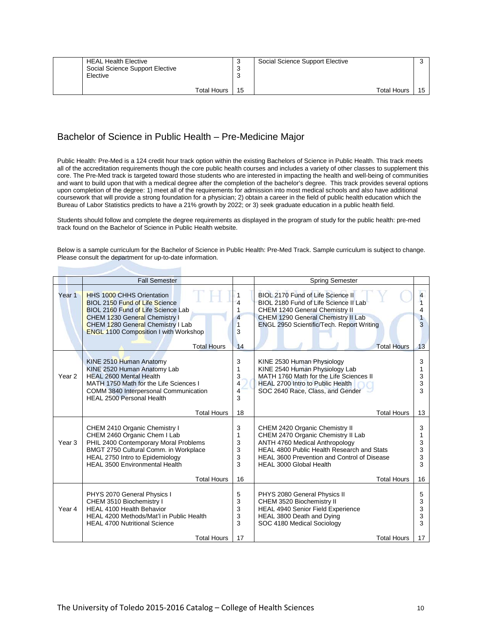| <b>HEAL Health Elective</b><br>Social Science Support Elective<br>Elective |    | Social Science Support Elective |    |
|----------------------------------------------------------------------------|----|---------------------------------|----|
| <b>Total Hours</b>                                                         | 15 | <b>Total Hours</b>              | 15 |

## Bachelor of Science in Public Health – Pre-Medicine Major

Public Health: Pre-Med is a 124 credit hour track option within the existing Bachelors of Science in Public Health. This track meets all of the accreditation requirements though the core public health courses and includes a variety of other classes to supplement this core. The Pre-Med track is targeted toward those students who are interested in impacting the health and well-being of communities and want to build upon that with a medical degree after the completion of the bachelor's degree. This track provides several options upon completion of the degree: 1) meet all of the requirements for admission into most medical schools and also have additional coursework that will provide a strong foundation for a physician; 2) obtain a career in the field of public health education which the Bureau of Labor Statistics predicts to have a 21% growth by 2022; or 3) seek graduate education in a public health field.

Students should follow and complete the degree requirements as displayed in the program of study for the public health: pre-med track found on the Bachelor of Science in Public Health website.

Below is a sample curriculum for the Bachelor of Science in Public Health: Pre-Med Track. Sample curriculum is subject to change. Please consult the department for up-to-date information.

|                   | <b>Fall Semester</b>                                                                                                                                                                                                                                        |                                  | <b>Spring Semester</b>                                                                                                                                                                                                                                             |                             |
|-------------------|-------------------------------------------------------------------------------------------------------------------------------------------------------------------------------------------------------------------------------------------------------------|----------------------------------|--------------------------------------------------------------------------------------------------------------------------------------------------------------------------------------------------------------------------------------------------------------------|-----------------------------|
| Year 1            | <b>HHS 1000 CHHS Orientation</b><br><b>BIOL 2150 Fund of Life Science</b><br>BIOL 2160 Fund of Life Science Lab<br>CHEM 1230 General Chemistry I<br>CHEM 1280 General Chemistry I Lab<br><b>ENGL 1100 Composition I with Workshop</b><br><b>Total Hours</b> | 4<br>4<br>3<br>14                | BIOL 2170 Fund of Life Science II<br>BIOL 2180 Fund of Life Science II Lab<br>CHEM 1240 General Chemistry II<br>CHEM 1290 General Chemistry II Lab<br>ENGL 2950 Scientific/Tech. Report Writing<br><b>Total Hours</b>                                              | 4<br>4<br>3<br>13           |
| Year <sub>2</sub> | KINE 2510 Human Anatomy<br>KINE 2520 Human Anatomy Lab<br><b>HEAL 2600 Mental Health</b><br>MATH 1750 Math for the Life Sciences I<br>COMM 3840 Interpersonal Communication<br><b>HEAL 2500 Personal Health</b><br><b>Total Hours</b>                       | 3<br>1<br>3<br>4<br>4<br>3<br>18 | KINE 2530 Human Physiology<br>KINE 2540 Human Physiology Lab<br>MATH 1760 Math for the Life Sciences II<br><b>HEAL 2700 Intro to Public Health</b><br>SOC 2640 Race, Class, and Gender<br><b>Total Hours</b>                                                       | 3<br>1<br>3<br>3<br>3<br>13 |
| Year <sub>3</sub> | CHEM 2410 Organic Chemistry I<br>CHEM 2460 Organic Chem I Lab<br>PHIL 2400 Contemporary Moral Problems<br>BMGT 2750 Cultural Comm. in Workplace<br>HEAL 2750 Intro to Epidemiology<br><b>HEAL 3500 Environmental Health</b><br><b>Total Hours</b>           | 3<br>1<br>3<br>3<br>3<br>3<br>16 | CHEM 2420 Organic Chemistry II<br>CHEM 2470 Organic Chemistry II Lab<br>ANTH 4760 Medical Anthropology<br>HEAL 4800 Public Health Research and Stats<br><b>HEAL 3600 Prevention and Control of Disease</b><br><b>HEAL 3000 Global Health</b><br><b>Total Hours</b> | 3<br>3<br>3<br>3<br>3<br>16 |
| Year 4            | PHYS 2070 General Physics I<br>CHEM 3510 Biochemistry I<br><b>HEAL 4100 Health Behavior</b><br>HEAL 4200 Methods/Mat'l in Public Health<br><b>HEAL 4700 Nutritional Science</b><br><b>Total Hours</b>                                                       | 5<br>3<br>3<br>3<br>3<br>17      | PHYS 2080 General Physics II<br>CHEM 3520 Biochemistry II<br><b>HEAL 4940 Senior Field Experience</b><br>HEAL 3800 Death and Dying<br>SOC 4180 Medical Sociology<br><b>Total Hours</b>                                                                             | 5<br>3<br>3<br>3<br>3<br>17 |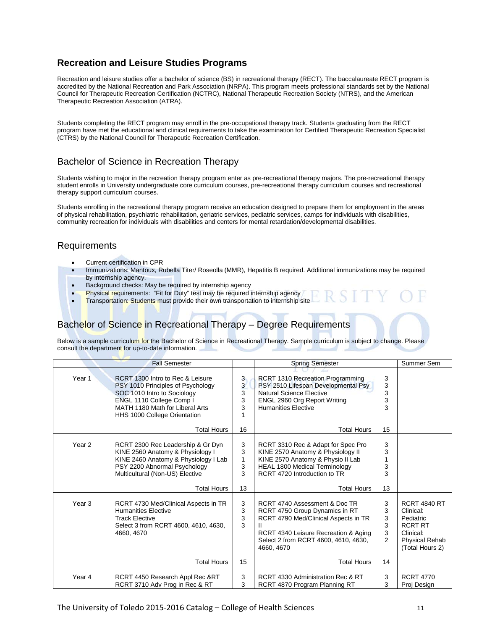## **Recreation and Leisure Studies Programs**

Recreation and leisure studies offer a bachelor of science (BS) in recreational therapy (RECT). The baccalaureate RECT program is accredited by the National Recreation and Park Association (NRPA). This program meets professional standards set by the National Council for Therapeutic Recreation Certification (NCTRC), National Therapeutic Recreation Society (NTRS), and the American Therapeutic Recreation Association (ATRA).

Students completing the RECT program may enroll in the pre-occupational therapy track. Students graduating from the RECT program have met the educational and clinical requirements to take the examination for Certified Therapeutic Recreation Specialist (CTRS) by the National Council for Therapeutic Recreation Certification.

## Bachelor of Science in Recreation Therapy

Students wishing to major in the recreation therapy program enter as pre-recreational therapy majors. The pre-recreational therapy student enrolls in University undergraduate core curriculum courses, pre-recreational therapy curriculum courses and recreational therapy support curriculum courses.

Students enrolling in the recreational therapy program receive an education designed to prepare them for employment in the areas of physical rehabilitation, psychiatric rehabilitation, geriatric services, pediatric services, camps for individuals with disabilities, community recreation for individuals with disabilities and centers for mental retardation/developmental disabilities.

#### Requirements

- Current certification in CPR
- Immunizations: Mantoux, Rubella Titer/ Roseolla (MMR), Hepatitis B required. Additional immunizations may be required by internship agency.
- Background checks: May be required by internship agency
- Physical requirements: "Fit for Duty" test may be required internship agency
- **Transportation: Students must provide their own transportation to internship site**

## Bachelor of Science in Recreational Therapy – Degree Requirements

Below is a sample curriculum for the Bachelor of Science in Recreational Therapy. Sample curriculum is subject to change. Please consult the department for up-to-date information.

|                   | <b>Fall Semester</b>                                                                                                                                                                                |                                                  | <b>Spring Semester</b>                                                                                                                                                                                |                                         | Summer Sem                                                                                                               |
|-------------------|-----------------------------------------------------------------------------------------------------------------------------------------------------------------------------------------------------|--------------------------------------------------|-------------------------------------------------------------------------------------------------------------------------------------------------------------------------------------------------------|-----------------------------------------|--------------------------------------------------------------------------------------------------------------------------|
| Year 1            | RCRT 1300 Intro to Rec & Leisure<br>PSY 1010 Principles of Psychology<br>SOC 1010 Intro to Sociology<br>ENGL 1110 College Comp I<br>MATH 1180 Math for Liberal Arts<br>HHS 1000 College Orientation | 3<br>$\overline{\mathbf{3}}$<br>3<br>3<br>3<br>1 | <b>RCRT 1310 Recreation Programming</b><br>PSY 2510 Lifespan Developmental Psy<br><b>Natural Science Elective</b><br>ENGL 2960 Org Report Writing<br><b>Humanities Elective</b>                       | 3<br>3<br>3<br>3<br>3                   |                                                                                                                          |
|                   | <b>Total Hours</b>                                                                                                                                                                                  | 16                                               | <b>Total Hours</b>                                                                                                                                                                                    | 15                                      |                                                                                                                          |
| Year <sub>2</sub> | RCRT 2300 Rec Leadership & Gr Dyn<br>KINE 2560 Anatomy & Physiology I<br>KINE 2460 Anatomy & Physiology I Lab<br>PSY 2200 Abnormal Psychology<br>Multicultural (Non-US) Elective                    | 3<br>3<br>$\mathbf{1}$<br>3<br>3                 | RCRT 3310 Rec & Adapt for Spec Pro<br>KINE 2570 Anatomy & Physiology II<br>KINE 2570 Anatomy & Physio II Lab<br><b>HEAL 1800 Medical Terminology</b><br>RCRT 4720 Introduction to TR                  | 3<br>3<br>3<br>3                        |                                                                                                                          |
|                   | <b>Total Hours</b>                                                                                                                                                                                  | 13                                               | <b>Total Hours</b>                                                                                                                                                                                    | 13                                      |                                                                                                                          |
| Year <sub>3</sub> | RCRT 4730 Med/Clinical Aspects in TR<br><b>Humanities Elective</b><br><b>Track Elective</b><br>Select 3 from RCRT 4600, 4610, 4630,<br>4660, 4670                                                   | 3<br>3<br>3<br>3                                 | RCRT 4740 Assessment & Doc TR<br>RCRT 4750 Group Dynamics in RT<br>RCRT 4790 Med/Clinical Aspects in TR<br>RCRT 4340 Leisure Recreation & Aging<br>Select 2 from RCRT 4600, 4610, 4630,<br>4660, 4670 | 3<br>3<br>3<br>3<br>3<br>$\overline{2}$ | <b>RCRT 4840 RT</b><br>Clinical:<br>Pediatric<br><b>RCRT RT</b><br>Clinical:<br><b>Physical Rehab</b><br>(Total Hours 2) |
|                   | <b>Total Hours</b>                                                                                                                                                                                  | 15                                               | <b>Total Hours</b>                                                                                                                                                                                    | 14                                      |                                                                                                                          |
| Year 4            | RCRT 4450 Research Appl Rec &RT<br>RCRT 3710 Adv Prog in Rec & RT                                                                                                                                   | 3<br>3                                           | RCRT 4330 Administration Rec & RT<br>RCRT 4870 Program Planning RT                                                                                                                                    | 3<br>3                                  | <b>RCRT 4770</b><br>Proj Design                                                                                          |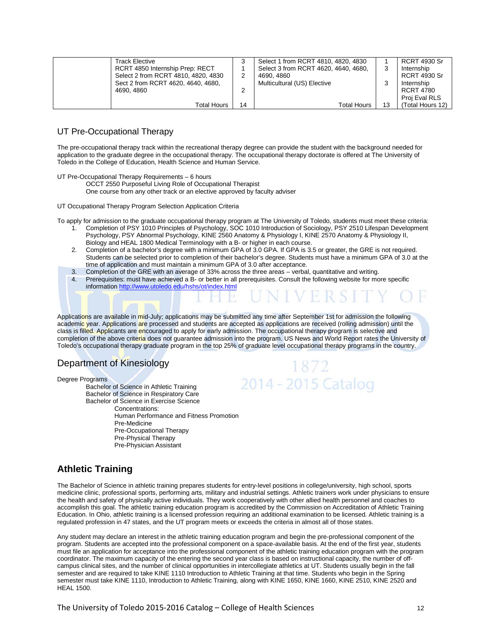| Track Elective                      |    | Select 1 from RCRT 4810, 4820, 4830  |    | <b>RCRT 4930 Sr</b> |
|-------------------------------------|----|--------------------------------------|----|---------------------|
| RCRT 4850 Internship Prep: RECT     |    | Select 3 from RCRT 4620, 4640, 4680, | IJ | Internship          |
| Select 2 from RCRT 4810, 4820, 4830 |    | 4690, 4860                           |    | <b>RCRT 4930 Sr</b> |
| Sect 2 from RCRT 4620, 4640, 4680,  |    | Multicultural (US) Elective          |    | Internship          |
| 4690.4860                           |    |                                      |    | RCRT 4780           |
|                                     |    |                                      |    | Proi Eval RLS       |
| Total Hours                         | 14 | Total Hours                          |    | (Total Hours 12)    |

#### UT Pre-Occupational Therapy

The pre-occupational therapy track within the recreational therapy degree can provide the student with the background needed for application to the graduate degree in the occupational therapy. The occupational therapy doctorate is offered at The University of Toledo in the College of Education, Health Science and Human Service.

UT Pre-Occupational Therapy Requirements – 6 hours

OCCT 2550 Purposeful Living Role of Occupational Therapist

One course from any other track or an elective approved by faculty adviser

UT Occupational Therapy Program Selection Application Criteria

To apply for admission to the graduate occupational therapy program at The University of Toledo, students must meet these criteria:

- 1. Completion of PSY 1010 Principles of Psychology, SOC 1010 Introduction of Sociology, PSY 2510 Lifespan Development Psychology, PSY Abnormal Psychology, KINE 2560 Anatomy & Physiology I, KINE 2570 Anatomy & Physiology II, Biology and HEAL 1800 Medical Terminology with a B- or higher in each course.
- 2. Completion of a bachelor's degree with a minimum GPA of 3.0 GPA. If GPA is 3.5 or greater, the GRE is not required. Students can be selected prior to completion of their bachelor's degree. Students must have a minimum GPA of 3.0 at the time of application and must maintain a minimum GPA of 3.0 after acceptance.
- 3. Completion of the GRE with an average of 33% across the three areas verbal, quantitative and writing.<br>4. Prerequisites: must have achieved a B- or better in all prerequisites. Consult the following website for mo
- Prerequisites: must have achieved a B- or better in all prerequisites. Consult the following website for more specific information<http://www.utoledo.edu/hshs/ot/index.html>

Applications are available in mid-July; applications may be submitted any time after September 1st for admission the following academic year. Applications are processed and students are accepted as applications are received (rolling admission) until the class is filled. Applicants are encouraged to apply for early admission. The occupational therapy program is selective and completion of the above criteria does not guarantee admission into the program. US News and World Report rates the University of Toledo's occupational therapy graduate program in the top 25% of graduate level occupational therapy programs in the country.

## Department of Kinesiology

Degree Programs

Bachelor of Science in Athletic Training Bachelor of Science in Respiratory Care Bachelor of Science in Exercise Science Concentrations: Human Performance and Fitness Promotion Pre-Medicine Pre-Occupational Therapy Pre-Physical Therapy Pre-Physician Assistant



## **Athletic Training**

The Bachelor of Science in athletic training prepares students for entry-level positions in college/university, high school, sports medicine clinic, professional sports, performing arts, military and industrial settings. Athletic trainers work under physicians to ensure the health and safety of physically active individuals. They work cooperatively with other allied health personnel and coaches to accomplish this goal. The athletic training education program is accredited by the Commission on Accreditation of Athletic Training Education. In Ohio, athletic training is a licensed profession requiring an additional examination to be licensed. Athletic training is a regulated profession in 47 states, and the UT program meets or exceeds the criteria in almost all of those states.

Any student may declare an interest in the athletic training education program and begin the pre-professional component of the program. Students are accepted into the professional component on a space-available basis. At the end of the first year, students must file an application for acceptance into the professional component of the athletic training education program with the program coordinator. The maximum capacity of the entering the second year class is based on instructional capacity, the number of offcampus clinical sites, and the number of clinical opportunities in intercollegiate athletics at UT. Students usually begin in the fall semester and are required to take KINE 1110 Introduction to Athletic Training at that time. Students who begin in the Spring semester must take KINE 1110, Introduction to Athletic Training, along with KINE 1650, KINE 1660, KINE 2510, KINE 2520 and HEAL 1500.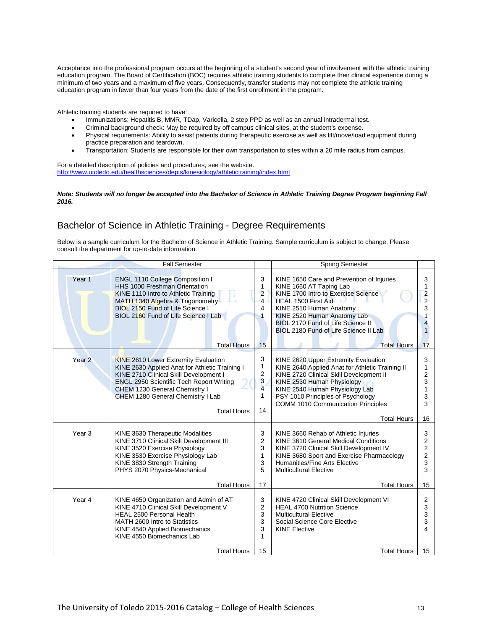Acceptance into the professional program occurs at the beginning of a student's second year of involvement with the athletic training education program. The Board of Certification (BOC) requires athletic training students to complete their clinical experience during a minimum of two years and a maximum of five years. Consequently, transfer students may not complete the athletic training education program in fewer than four years from the date of the first enrollment in the program.

Athletic training students are required to have:

- Immunizations: Hepatitis B, MMR, TDap, Varicella, 2 step PPD as well as an annual intradermal test.
- Criminal background check: May be required by off campus clinical sites, at the student's expense.
- Physical requirements: Ability to assist patients during therapeutic exercise as well as lift/move/load equipment during practice preparation and teardown.
- Transportation: Students are responsible for their own transportation to sites within a 20 mile radius from campus.

For a detailed description of policies and procedures, see the website. <http://www.utoledo.edu/healthsciences/depts/kinesiology/athletictraining/index.html>

#### *Note: Students will no longer be accepted into the Bachelor of Science in Athletic Training Degree Program beginning Fall 2016.*

## Bachelor of Science in Athletic Training - Degree Requirements

Below is a sample curriculum for the Bachelor of Science in Athletic Training. Sample curriculum is subject to change. Please consult the department for up-to-date information.

|                   | <b>Fall Semester</b>                                                                                                                                                                                                                                                                   |                                       | <b>Spring Semester</b>                                                                                                                                                                                                                                                               |                                                          |
|-------------------|----------------------------------------------------------------------------------------------------------------------------------------------------------------------------------------------------------------------------------------------------------------------------------------|---------------------------------------|--------------------------------------------------------------------------------------------------------------------------------------------------------------------------------------------------------------------------------------------------------------------------------------|----------------------------------------------------------|
| Year <sub>1</sub> | <b>ENGL 1110 College Composition I</b><br><b>HHS 1000 Freshman Orientation</b><br><b>KINE 1110 Intro to Athletic Training</b><br>MATH 1340 Algebra & Trigonometry<br>BIOL 2150 Fund of Life Science I<br>BIOL 2160 Fund of Life Science I Lab                                          | 3<br>$\mathbf{1}$<br>2<br>4<br>4<br>1 | KINE 1650 Care and Prevention of Injuries<br>KINE 1660 AT Taping Lab<br>KINE 1700 Intro to Exercise Science<br>HEAL 1500 First Aid<br>KINE 2510 Human Anatomy<br>KINE 2520 Human Anatomy Lab<br>BIOL 2170 Fund of Life Science II<br>BIOL 2180 Fund of Life Science II Lab           | 3<br>$\overline{\mathbf{c}}$<br>$\overline{2}$<br>3<br>1 |
|                   | <b>Total Hours</b>                                                                                                                                                                                                                                                                     | 15                                    | <b>Total Hours</b>                                                                                                                                                                                                                                                                   | 17                                                       |
| Year <sub>2</sub> | <b>KINE 2610 Lower Extremity Evaluation</b><br>KINE 2630 Applied Anat for Athletic Training I<br>KINE 2710 Clinical Skill Development I<br><b>ENGL 2950 Scientific Tech Report Writing</b><br>CHEM 1230 General Chemistry I<br>CHEM 1280 General Chemistry I Lab<br><b>Total Hours</b> | 3<br>1<br>2<br>3<br>4<br>1<br>14      | KINE 2620 Upper Extremity Evaluation<br>KINE 2640 Applied Anat for Athletic Training II<br>KINE 2720 Clinical Skill Development II<br>KINE 2530 Human Physiology<br>KINE 2540 Human Physiology Lab<br>PSY 1010 Principles of Psychology<br><b>COMM 1010 Communication Principles</b> | 3<br>1<br>2<br>3<br>1<br>3<br>3                          |
|                   |                                                                                                                                                                                                                                                                                        |                                       | <b>Total Hours</b>                                                                                                                                                                                                                                                                   | 16                                                       |
| Year <sub>3</sub> | KINE 3630 Therapeutic Modalities<br>KINE 3710 Clinical Skill Development III<br>KINE 3520 Exercise Physiology<br>KINE 3530 Exercise Physiology Lab<br>KINE 3830 Strength Training<br>PHYS 2070 Physics-Mechanical                                                                      | 3<br>2<br>3<br>$\mathbf{1}$<br>3<br>5 | KINE 3660 Rehab of Athletic Injuries<br>KINE 3610 General Medical Conditions<br>KINE 3720 Clinical Skill Development IV<br>KINE 3680 Sport and Exercise Pharmacology<br>Humanities/Fine Arts Elective<br><b>Multicultural Elective</b>                                               | 3<br>2<br>2<br>2<br>3<br>3                               |
|                   | <b>Total Hours</b>                                                                                                                                                                                                                                                                     | 17                                    | <b>Total Hours</b>                                                                                                                                                                                                                                                                   | 15                                                       |
| Year 4            | KINE 4650 Organization and Admin of AT<br>KINE 4710 Clinical Skill Development V<br><b>HEAL 2500 Personal Health</b><br>MATH 2600 Intro to Statistics<br>KINE 4540 Applied Biomechanics<br>KINE 4550 Biomechanics Lab                                                                  | 3<br>2<br>3<br>3<br>3<br>1            | KINE 4720 Clinical Skill Development VI<br><b>HEAL 4700 Nutrition Science</b><br><b>Multicultural Elective</b><br>Social Science Core Elective<br><b>KINE Elective</b>                                                                                                               | 2<br>3<br>3<br>3<br>4                                    |
|                   | <b>Total Hours</b>                                                                                                                                                                                                                                                                     | 15                                    | <b>Total Hours</b>                                                                                                                                                                                                                                                                   | 15                                                       |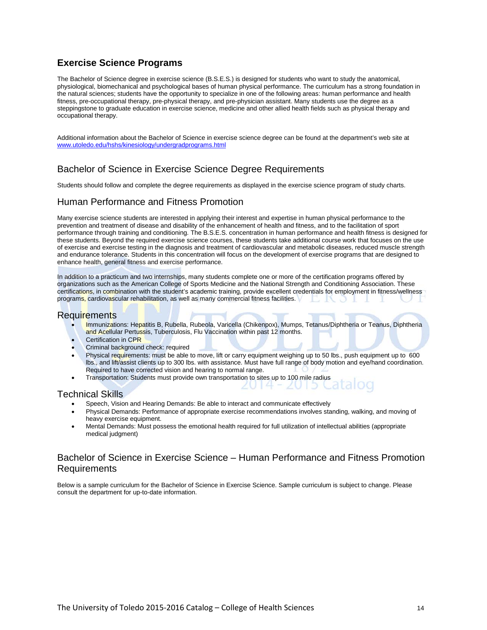## **Exercise Science Programs**

The Bachelor of Science degree in exercise science (B.S.E.S.) is designed for students who want to study the anatomical, physiological, biomechanical and psychological bases of human physical performance. The curriculum has a strong foundation in the natural sciences; students have the opportunity to specialize in one of the following areas: human performance and health fitness, pre-occupational therapy, pre-physical therapy, and pre-physician assistant. Many students use the degree as a steppingstone to graduate education in exercise science, medicine and other allied health fields such as physical therapy and occupational therapy.

Additional information about the Bachelor of Science in exercise science degree can be found at the department's web site at [www.utoledo.edu/hshs/kinesiology/undergradprograms.html](http://www.utoledo.edu/hshs/kinesiology/undergradprograms.html)

## Bachelor of Science in Exercise Science Degree Requirements

Students should follow and complete the degree requirements as displayed in the exercise science program of study charts.

#### Human Performance and Fitness Promotion

Many exercise science students are interested in applying their interest and expertise in human physical performance to the prevention and treatment of disease and disability of the enhancement of health and fitness, and to the facilitation of sport performance through training and conditioning. The B.S.E.S. concentration in human performance and health fitness is designed for these students. Beyond the required exercise science courses, these students take additional course work that focuses on the use of exercise and exercise testing in the diagnosis and treatment of cardiovascular and metabolic diseases, reduced muscle strength and endurance tolerance. Students in this concentration will focus on the development of exercise programs that are designed to enhance health, general fitness and exercise performance.

In addition to a practicum and two internships, many students complete one or more of the certification programs offered by organizations such as the American College of Sports Medicine and the National Strength and Conditioning Association. These certifications, in combination with the student's academic training, provide excellent credentials for employment in fitness/wellness programs, cardiovascular rehabilitation, as well as many commercial fitness facilities.

#### Requirements

- Immunizations: Hepatitis B, Rubella, Rubeola, Varicella (Chikenpox), Mumps, Tetanus/Diphtheria or Teanus, Diphtheria and Acellular Pertussis, Tuberculosis, Flu Vaccination within past 12 months.
- Certification in CPR
- Criminal background check: required
- Physical requirements: must be able to move, lift or carry equipment weighing up to 50 lbs., push equipment up to 600 lbs., and lift/assist clients up to 300 lbs. with assistance. Must have full range of body motion and eye/hand coordination. Required to have corrected vision and hearing to normal range.
- Transportation: Students must provide own transportation to sites up to 100 mile radius

#### Technical Skills

- Speech, Vision and Hearing Demands: Be able to interact and communicate effectively
- Physical Demands: Performance of appropriate exercise recommendations involves standing, walking, and moving of heavy exercise equipment.
- Mental Demands: Must possess the emotional health required for full utilization of intellectual abilities (appropriate medical judgment)

#### Bachelor of Science in Exercise Science – Human Performance and Fitness Promotion Requirements

Below is a sample curriculum for the Bachelor of Science in Exercise Science. Sample curriculum is subject to change. Please consult the department for up-to-date information.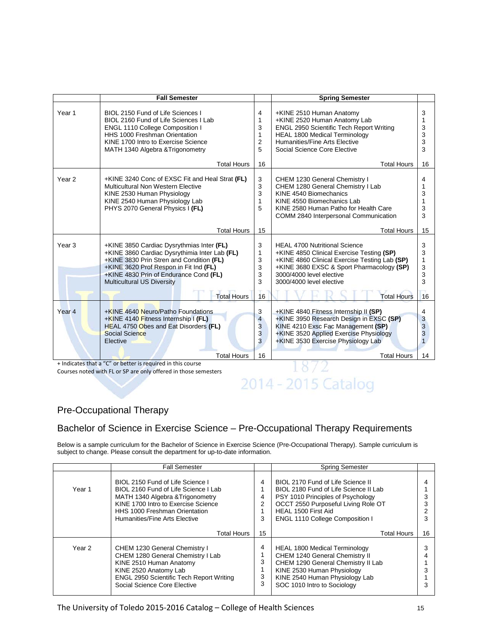| Year <sub>1</sub><br>BIOL 2150 Fund of Life Sciences I<br>4<br>3<br>+KINE 2510 Human Anatomy<br>+KINE 2520 Human Anatomy Lab<br>BIOL 2160 Fund of Life Sciences I Lab<br>1<br>3<br><b>ENGL 2950 Scientific Tech Report Writing</b><br><b>ENGL 1110 College Composition I</b><br>3<br>HHS 1000 Freshman Orientation<br>1<br><b>HEAL 1800 Medical Terminology</b><br>3<br>$\overline{2}$<br>Humanities/Fine Arts Elective<br>3<br>KINE 1700 Intro to Exercise Science<br>5<br>3<br>Social Science Core Elective<br>MATH 1340 Algebra & Trigonometry<br><b>Total Hours</b><br>16<br><b>Total Hours</b><br>16<br>Year <sub>2</sub><br>3<br>+KINE 3240 Conc of EXSC Fit and Heal Strat (FL)<br>CHEM 1230 General Chemistry I<br>4<br>3<br>CHEM 1280 General Chemistry I Lab<br>Multicultural Non Western Elective<br>3<br>KINE 2530 Human Physiology<br>KINE 4540 Biomechanics<br>3<br>KINE 2540 Human Physiology Lab<br>1<br>KINE 4550 Biomechanics Lab<br>PHYS 2070 General Physics I (FL)<br>5<br>KINE 2580 Human Patho for Health Care<br>3<br>3<br>COMM 2840 Interpersonal Communication<br>15<br><b>Total Hours</b><br><b>Total Hours</b><br>15<br>3<br>Year <sub>3</sub><br>3<br>+KINE 3850 Cardiac Dysrythmias Inter (FL)<br><b>HEAL 4700 Nutritional Science</b><br>3<br>+KINE 3860 Cardiac Dysrythimia Inter Lab (FL)<br>1<br>+KINE 4850 Clinical Exercise Testing (SP)<br>+KINE 3830 Prin Stren and Condition (FL)<br>3<br>+KINE 4860 Clinical Exercise Testing Lab (SP)<br>1<br>3<br>+KINE 3620 Prof Respon in Fit Ind (FL)<br>+KINE 3680 EXSC & Sport Pharmacology (SP)<br>3<br>3<br>+KINE 4830 Prin of Endurance Cond (FL)<br>3<br>3000/4000 level elective<br>3<br>3<br><b>Multicultural US Diversity</b><br>3000/4000 level elective<br><b>Total Hours</b><br>16<br><b>Total Hours</b><br>16<br>Year <sub>4</sub><br><b>+KINE 4640 Neuro/Patho Foundations</b><br>3<br>+KINE 4840 Fitness Internship II (SP)<br>4<br>$\overline{4}$<br>+KINE 3950 Research Design in EXSC (SP)<br>3<br>+KINE 4140 Fitness Internship I (FL) | <b>Fall Semester</b> | <b>Spring Semester</b> |  |
|----------------------------------------------------------------------------------------------------------------------------------------------------------------------------------------------------------------------------------------------------------------------------------------------------------------------------------------------------------------------------------------------------------------------------------------------------------------------------------------------------------------------------------------------------------------------------------------------------------------------------------------------------------------------------------------------------------------------------------------------------------------------------------------------------------------------------------------------------------------------------------------------------------------------------------------------------------------------------------------------------------------------------------------------------------------------------------------------------------------------------------------------------------------------------------------------------------------------------------------------------------------------------------------------------------------------------------------------------------------------------------------------------------------------------------------------------------------------------------------------------------------------------------------------------------------------------------------------------------------------------------------------------------------------------------------------------------------------------------------------------------------------------------------------------------------------------------------------------------------------------------------------------------------------------------------------------------------------------------------------------------------------------------------|----------------------|------------------------|--|
|                                                                                                                                                                                                                                                                                                                                                                                                                                                                                                                                                                                                                                                                                                                                                                                                                                                                                                                                                                                                                                                                                                                                                                                                                                                                                                                                                                                                                                                                                                                                                                                                                                                                                                                                                                                                                                                                                                                                                                                                                                        |                      |                        |  |
|                                                                                                                                                                                                                                                                                                                                                                                                                                                                                                                                                                                                                                                                                                                                                                                                                                                                                                                                                                                                                                                                                                                                                                                                                                                                                                                                                                                                                                                                                                                                                                                                                                                                                                                                                                                                                                                                                                                                                                                                                                        |                      |                        |  |
|                                                                                                                                                                                                                                                                                                                                                                                                                                                                                                                                                                                                                                                                                                                                                                                                                                                                                                                                                                                                                                                                                                                                                                                                                                                                                                                                                                                                                                                                                                                                                                                                                                                                                                                                                                                                                                                                                                                                                                                                                                        |                      |                        |  |
|                                                                                                                                                                                                                                                                                                                                                                                                                                                                                                                                                                                                                                                                                                                                                                                                                                                                                                                                                                                                                                                                                                                                                                                                                                                                                                                                                                                                                                                                                                                                                                                                                                                                                                                                                                                                                                                                                                                                                                                                                                        |                      |                        |  |
|                                                                                                                                                                                                                                                                                                                                                                                                                                                                                                                                                                                                                                                                                                                                                                                                                                                                                                                                                                                                                                                                                                                                                                                                                                                                                                                                                                                                                                                                                                                                                                                                                                                                                                                                                                                                                                                                                                                                                                                                                                        |                      |                        |  |
| HEAL 4750 Obes and Eat Disorders (FL)<br>3<br>KINE 4210 Exsc Fac Management (SP)<br>3<br>3<br>+KINE 3520 Applied Exercise Physiology<br>Social Science<br>3<br>3<br>+KINE 3530 Exercise Physiology Lab<br>Elective                                                                                                                                                                                                                                                                                                                                                                                                                                                                                                                                                                                                                                                                                                                                                                                                                                                                                                                                                                                                                                                                                                                                                                                                                                                                                                                                                                                                                                                                                                                                                                                                                                                                                                                                                                                                                     |                      |                        |  |
| <b>Total Hours</b><br>16<br><b>Total Hours</b><br>14<br>+ Indicates that a "C" or better is required in this course                                                                                                                                                                                                                                                                                                                                                                                                                                                                                                                                                                                                                                                                                                                                                                                                                                                                                                                                                                                                                                                                                                                                                                                                                                                                                                                                                                                                                                                                                                                                                                                                                                                                                                                                                                                                                                                                                                                    |                      |                        |  |

Courses noted with FL or SP are only offered in those semesters

# $18/2$ 2014 - 2015 Catalog

## Pre-Occupational Therapy

## Bachelor of Science in Exercise Science – Pre-Occupational Therapy Requirements

Below is a sample curriculum for the Bachelor of Science in Exercise Science (Pre-Occupational Therapy). Sample curriculum is subject to change. Please consult the department for up-to-date information.

|        | <b>Fall Semester</b>                                                                                                                                                                                                  |                               | <b>Spring Semester</b>                                                                                                                                                                                                  |    |
|--------|-----------------------------------------------------------------------------------------------------------------------------------------------------------------------------------------------------------------------|-------------------------------|-------------------------------------------------------------------------------------------------------------------------------------------------------------------------------------------------------------------------|----|
| Year 1 | BIOL 2150 Fund of Life Science I<br>BIOL 2160 Fund of Life Science I Lab<br>MATH 1340 Algebra & Trigonometry<br>KINE 1700 Intro to Exercise Science<br>HHS 1000 Freshman Orientation<br>Humanities/Fine Arts Elective | 4<br>4<br>$\overline{2}$<br>3 | BIOL 2170 Fund of Life Science II<br>BIOL 2180 Fund of Life Science II Lab<br>PSY 1010 Principles of Psychology<br>OCCT 2550 Purposeful Living Role OT<br>HEAL 1500 First Aid<br><b>ENGL 1110 College Composition I</b> |    |
|        | Total Hours                                                                                                                                                                                                           | 15                            | <b>Total Hours</b>                                                                                                                                                                                                      | 16 |
| Year 2 | CHEM 1230 General Chemistry I<br>CHEM 1280 General Chemistry I Lab<br>KINE 2510 Human Anatomy<br>KINE 2520 Anatomy Lab<br><b>ENGL 2950 Scientific Tech Report Writing</b><br>Social Science Core Elective             | 4<br>3<br>3<br>3              | HEAL 1800 Medical Terminology<br>CHEM 1240 General Chemistry II<br>CHEM 1290 General Chemistry II Lab<br>KINE 2530 Human Physiology<br>KINE 2540 Human Physiology Lab<br>SOC 1010 Intro to Sociology                    |    |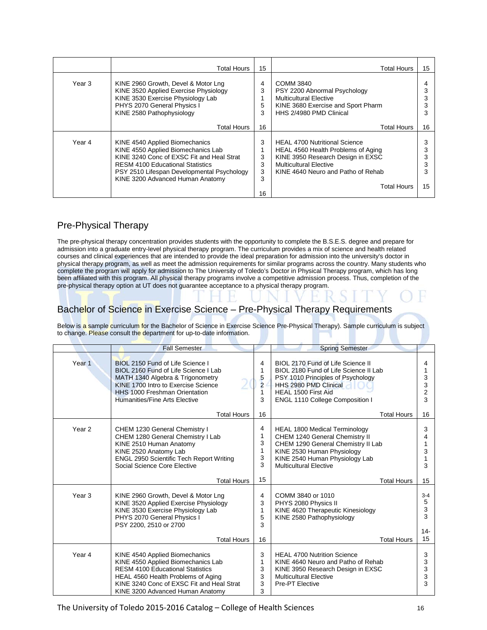|        | Total Hours                                                                                                                                                                                                                                    | 15                          | <b>Total Hours</b>                                                                                                                                                                                    | 15 |
|--------|------------------------------------------------------------------------------------------------------------------------------------------------------------------------------------------------------------------------------------------------|-----------------------------|-------------------------------------------------------------------------------------------------------------------------------------------------------------------------------------------------------|----|
| Year 3 | KINE 2960 Growth, Devel & Motor Lng<br>KINE 3520 Applied Exercise Physiology<br>KINE 3530 Exercise Physiology Lab<br>PHYS 2070 General Physics I<br>KINE 2580 Pathophysiology                                                                  | 4<br>3<br>5<br>3            | COMM 3840<br>PSY 2200 Abnormal Psychology<br><b>Multicultural Elective</b><br>KINE 3680 Exercise and Sport Pharm<br>HHS 2/4980 PMD Clinical                                                           |    |
|        | Total Hours                                                                                                                                                                                                                                    | 16                          | <b>Total Hours</b>                                                                                                                                                                                    | 16 |
| Year 4 | KINE 4540 Applied Biomechanics<br>KINE 4550 Applied Biomechanics Lab<br>KINE 3240 Conc of EXSC Fit and Heal Strat<br><b>RESM 4100 Educational Statistics</b><br>PSY 2510 Lifespan Developmental Psychology<br>KINE 3200 Advanced Human Anatomy | 3<br>3<br>3<br>3<br>3<br>16 | <b>HEAL 4700 Nutritional Science</b><br>HEAL 4560 Health Problems of Aging<br>KINE 3950 Research Design in EXSC<br><b>Multicultural Elective</b><br>KINE 4640 Neuro and Patho of Rehab<br>Total Hours | 15 |

## Pre-Physical Therapy

The pre-physical therapy concentration provides students with the opportunity to complete the B.S.E.S. degree and prepare for admission into a graduate entry-level physical therapy program. The curriculum provides a mix of science and health related courses and clinical experiences that are intended to provide the ideal preparation for admission into the university's doctor in physical therapy program, as well as meet the admission requirements for similar programs across the country. Many students who complete the program will apply for admission to The University of Toledo's Doctor in Physical Therapy program, which has long been affiliated with this program. All physical therapy programs involve a competitive admission process. Thus, completion of the pre-physical therapy option at UT does not guarantee acceptance to a physical therapy program.

## Bachelor of Science in Exercise Science - Pre-Physical Therapy Requirements

|                   | <b>Fall Semester</b>                                                                                                                                                                                                                   |                                         | <b>Spring Semester</b>                                                                                                                                                                                    |                                         |
|-------------------|----------------------------------------------------------------------------------------------------------------------------------------------------------------------------------------------------------------------------------------|-----------------------------------------|-----------------------------------------------------------------------------------------------------------------------------------------------------------------------------------------------------------|-----------------------------------------|
| Year <sub>1</sub> | <b>BIOL 2150 Fund of Life Science I</b><br>BIOL 2160 Fund of Life Science I Lab<br>MATH 1340 Algebra & Trigonometry<br>KINE 1700 Intro to Exercise Science<br>HHS 1000 Freshman Orientation<br>Humanities/Fine Arts Elective           | 4<br>1<br>5<br>$\overline{2}$<br>1<br>3 | BIOL 2170 Fund of Life Science II<br>BIOL 2180 Fund of Life Science II Lab<br>PSY 1010 Principles of Psychology<br>HHS 2980 PMD Clinical<br>HEAL 1500 First Aid<br><b>ENGL 1110 College Composition I</b> | 4<br>1<br>3<br>3<br>$\overline{c}$<br>3 |
|                   | <b>Total Hours</b>                                                                                                                                                                                                                     | 16                                      | <b>Total Hours</b>                                                                                                                                                                                        | 16                                      |
| Year <sub>2</sub> | CHEM 1230 General Chemistry I<br>CHEM 1280 General Chemistry I Lab<br>KINE 2510 Human Anatomy<br>KINE 2520 Anatomy Lab<br>ENGL 2950 Scientific Tech Report Writing<br>Social Science Core Elective                                     | 4<br>1<br>3<br>1<br>3<br>3              | <b>HEAL 1800 Medical Terminology</b><br>CHEM 1240 General Chemistry II<br>CHEM 1290 General Chemistry II Lab<br>KINE 2530 Human Physiology<br>KINE 2540 Human Physiology Lab<br>Multicultural Flective    | 3<br>4<br>3<br>3                        |
|                   | <b>Total Hours</b>                                                                                                                                                                                                                     | 15                                      | <b>Total Hours</b>                                                                                                                                                                                        | 15                                      |
| Year <sub>3</sub> | KINE 2960 Growth, Devel & Motor Lng<br>KINE 3520 Applied Exercise Physiology<br>KINE 3530 Exercise Physiology Lab<br>PHYS 2070 General Physics I<br>PSY 2200, 2510 or 2700<br><b>Total Hours</b>                                       | 4<br>3<br>1<br>5<br>3<br>16             | COMM 3840 or 1010<br>PHYS 2080 Physics II<br>KINE 4620 Therapeutic Kinesiology<br>KINE 2580 Pathophysiology<br><b>Total Hours</b>                                                                         | $3 - 4$<br>5<br>3<br>3<br>$14 -$<br>15  |
| Year 4            | KINE 4540 Applied Biomechanics<br>KINE 4550 Applied Biomechanics Lab<br><b>RESM 4100 Educational Statistics</b><br>HEAL 4560 Health Problems of Aging<br>KINE 3240 Conc of EXSC Fit and Heal Strat<br>KINE 3200 Advanced Human Anatomy | 3<br>1<br>3<br>3<br>3<br>3              | <b>HEAL 4700 Nutrition Science</b><br>KINE 4640 Neuro and Patho of Rehab<br>KINE 3950 Research Design in EXSC<br><b>Multicultural Elective</b><br>Pre-PT Elective                                         | 3<br>3<br>3<br>3<br>3                   |

Below is a sample curriculum for the Bachelor of Science in Exercise Science Pre-Physical Therapy). Sample curriculum is subject to change. Please consult the department for up-to-date information.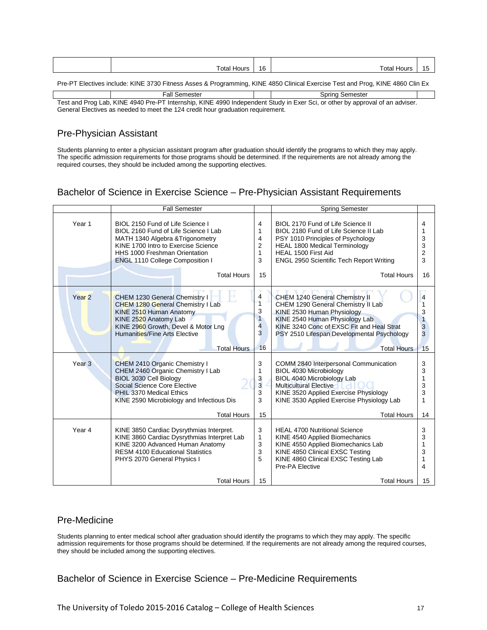| Total Hours | 16 | Total Hours I                                                                                                                 |  |
|-------------|----|-------------------------------------------------------------------------------------------------------------------------------|--|
|             |    | Pre-PT Electives include: KINE 3730 Fitness Asses & Programming, KINE 4850 Clinical Exercise Test and Prog, KINE 4860 Clin Ex |  |

Test and Prog Lab, KINE 4940 Pre-PT Internship, KINE 4990 Independent Study in Exer Sci, or other by approval of an adviser. General Electives as needed to meet the 124 credit hour graduation requirement. Fall Semester **Spring Semester** Spring Semester

## Pre-Physician Assistant

Students planning to enter a physician assistant program after graduation should identify the programs to which they may apply. The specific admission requirements for those programs should be determined. If the requirements are not already among the required courses, they should be included among the supporting electives.

## Bachelor of Science in Exercise Science – Pre-Physician Assistant Requirements

|                   | <b>Fall Semester</b>                                                                                                                                                                                                                                 |                                                                                | <b>Spring Semester</b>                                                                                                                                                                                                                                  |                                               |
|-------------------|------------------------------------------------------------------------------------------------------------------------------------------------------------------------------------------------------------------------------------------------------|--------------------------------------------------------------------------------|---------------------------------------------------------------------------------------------------------------------------------------------------------------------------------------------------------------------------------------------------------|-----------------------------------------------|
| Year 1            | BIOL 2150 Fund of Life Science I<br>BIOL 2160 Fund of Life Science I Lab<br>MATH 1340 Algebra & Trigonometry<br>KINE 1700 Intro to Exercise Science<br>HHS 1000 Freshman Orientation<br><b>ENGL 1110 College Composition I</b><br><b>Total Hours</b> | 4<br>1<br>4<br>2<br>1<br>3<br>15                                               | BIOL 2170 Fund of Life Science II<br>BIOL 2180 Fund of Life Science II Lab<br>PSY 1010 Principles of Psychology<br><b>HEAL 1800 Medical Terminology</b><br>HEAL 1500 First Aid<br><b>ENGL 2950 Scientific Tech Report Writing</b><br><b>Total Hours</b> | 4<br>1<br>3<br>3<br>$\overline{2}$<br>3<br>16 |
|                   |                                                                                                                                                                                                                                                      |                                                                                |                                                                                                                                                                                                                                                         |                                               |
| Year <sub>2</sub> | CHEM 1230 General Chemistry I<br>CHEM 1280 General Chemistry I Lab<br>KINE 2510 Human Anatomy<br>KINE 2520 Anatomy Lab<br>KINE 2960 Growth, Devel & Motor Lng<br><b>Humanities/Fine Arts Elective</b><br><b>Total Hours</b>                          | 4<br>$\overline{1}$<br>3<br>$\mathbf{1}$<br>$\overline{\mathbf{4}}$<br>3<br>16 | CHEM 1240 General Chemistry II<br>CHEM 1290 General Chemistry II Lab<br>KINE 2530 Human Physiology<br>KINE 2540 Human Physiology Lab<br>KINE 3240 Conc of EXSC Fit and Heal Strat<br>PSY 2510 Lifespan Developmental Psychology<br><b>Total Hours</b>   | 4<br>3<br>1<br>3<br>3<br>15                   |
| Year <sub>3</sub> | CHEM 2410 Organic Chemistry I<br>CHEM 2460 Organic Chemistry I Lab<br>BIOL 3030 Cell Biology<br>Social Science Core Elective<br>PHIL 3370 Medical Ethics<br>KINE 2590 Microbiology and Infectious Dis<br><b>Total Hours</b>                          | 3<br>1<br>3<br>3<br>3<br>3<br>15                                               | COMM 2840 Interpersonal Communication<br><b>BIOL 4030 Microbiology</b><br>BIOL 4040 Microbiology Lab<br><b>Multicultural Elective</b><br>KINE 3520 Applied Exercise Physiology<br>KINE 3530 Applied Exercise Physiology Lab<br><b>Total Hours</b>       | 3<br>3<br>1<br>3<br>3<br>1<br>14              |
| Year 4            | KINE 3850 Cardiac Dysrythmias Interpret.<br>KINE 3860 Cardiac Dysrythmias Interpret Lab<br>KINE 3200 Advanced Human Anatomy<br><b>RESM 4100 Educational Statistics</b><br>PHYS 2070 General Physics I                                                | 3<br>$\mathbf{1}$<br>3<br>3<br>5                                               | <b>HEAL 4700 Nutritional Science</b><br>KINE 4540 Applied Biomechanics<br>KINE 4550 Applied Biomechanics Lab<br>KINE 4850 Clinical EXSC Testing<br>KINE 4860 Clinical EXSC Testing Lab<br>Pre-PA Elective                                               | 3<br>3<br>1<br>3<br>1<br>4                    |
|                   | <b>Total Hours</b>                                                                                                                                                                                                                                   | 15                                                                             | <b>Total Hours</b>                                                                                                                                                                                                                                      | 15                                            |

## Pre-Medicine

Students planning to enter medical school after graduation should identify the programs to which they may apply. The specific admission requirements for those programs should be determined. If the requirements are not already among the required courses, they should be included among the supporting electives.

Bachelor of Science in Exercise Science – Pre-Medicine Requirements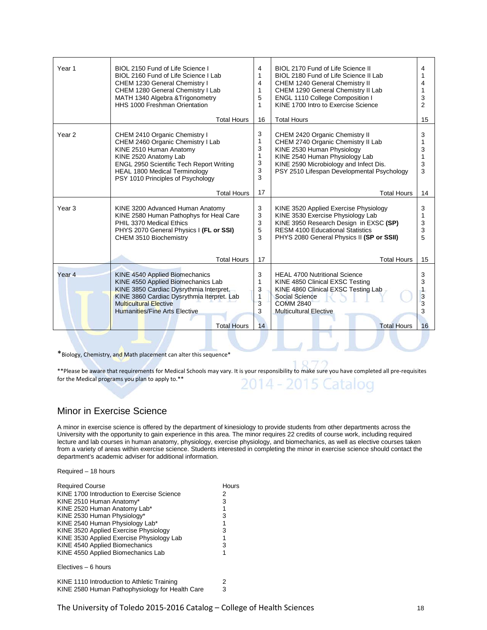| Year 1            | BIOL 2150 Fund of Life Science I<br>BIOL 2160 Fund of Life Science I Lab<br><b>CHEM 1230 General Chemistry I</b><br>CHEM 1280 General Chemistry I Lab<br>MATH 1340 Algebra & Trigonometry<br>HHS 1000 Freshman Orientation                             | 4<br>1<br>4<br>1<br>5<br>1      | BIOL 2170 Fund of Life Science II<br>BIOL 2180 Fund of Life Science II Lab<br><b>CHEM 1240 General Chemistry II</b><br>CHEM 1290 General Chemistry II Lab<br>ENGL 1110 College Composition I<br>KINE 1700 Intro to Exercise Science | 4<br>1<br>4<br>1<br>3<br>$\overline{2}$ |
|-------------------|--------------------------------------------------------------------------------------------------------------------------------------------------------------------------------------------------------------------------------------------------------|---------------------------------|-------------------------------------------------------------------------------------------------------------------------------------------------------------------------------------------------------------------------------------|-----------------------------------------|
|                   | <b>Total Hours</b>                                                                                                                                                                                                                                     | 16                              | <b>Total Hours</b>                                                                                                                                                                                                                  | 15                                      |
| Year <sub>2</sub> | CHEM 2410 Organic Chemistry I<br>CHEM 2460 Organic Chemistry I Lab<br>KINE 2510 Human Anatomy<br>KINE 2520 Anatomy Lab<br><b>ENGL 2950 Scientific Tech Report Writing</b><br><b>HEAL 1800 Medical Terminology</b><br>PSY 1010 Principles of Psychology | 3<br>1<br>3<br>1<br>3<br>3<br>3 | CHEM 2420 Organic Chemistry II<br>CHEM 2740 Organic Chemistry II Lab<br>KINE 2530 Human Physiology<br>KINE 2540 Human Physiology Lab<br>KINE 2590 Microbiology and Infect Dis.<br>PSY 2510 Lifespan Developmental Psychology        | 3<br>1<br>3<br>1<br>3<br>3              |
|                   | <b>Total Hours</b>                                                                                                                                                                                                                                     | 17                              | <b>Total Hours</b>                                                                                                                                                                                                                  | 14                                      |
| Year <sub>3</sub> | KINE 3200 Advanced Human Anatomy<br>KINE 2580 Human Pathophys for Heal Care<br>PHIL 3370 Medical Ethics<br>PHYS 2070 General Physics I (FL or SSI)<br>CHEM 3510 Biochemistry                                                                           | 3<br>3<br>3<br>5<br>3           | KINE 3520 Applied Exercise Physiology<br>KINE 3530 Exercise Physiology Lab<br>KINE 3950 Research Design in EXSC (SP)<br><b>RESM 4100 Educational Statistics</b><br>PHYS 2080 General Physics II (SP or SSII)                        | 3<br>1<br>3<br>3<br>5                   |
|                   | <b>Total Hours</b>                                                                                                                                                                                                                                     | 17                              | <b>Total Hours</b>                                                                                                                                                                                                                  | 15                                      |
| Year <sub>4</sub> | KINE 4540 Applied Biomechanics<br>KINE 4550 Applied Biomechanics Lab<br>KINE 3850 Cardiac Dysrythmia Interpret.<br>KINE 3860 Cardiac Dysrythmia Iterpret. Lab<br><b>Multicultural Elective</b><br><b>Humanities/Fine Arts Elective</b>                 | 3<br>1<br>3<br>1<br>3<br>3      | <b>HEAL 4700 Nutritional Science</b><br>KINE 4850 Clinical EXSC Testing<br>KINE 4860 Clinical EXSC Testing Lab<br>Social Science<br><b>COMM 2840</b><br><b>Multicultural Elective</b>                                               | 3<br>3<br>3<br>3<br>3                   |
|                   | <b>Total Hours</b>                                                                                                                                                                                                                                     | 14                              | <b>Total Hours</b>                                                                                                                                                                                                                  | 16                                      |

\*Biology, Chemistry, and Math placement can alter this sequence\*

\*\*Please be aware that requirements for Medical Schools may vary. It is your responsibility to make sure you have completed all pre-requisites for the Medical programs you plan to apply to.\*\* -2015 Catalog

#### Minor in Exercise Science

A minor in exercise science is offered by the department of kinesiology to provide students from other departments across the University with the opportunity to gain experience in this area. The minor requires 22 credits of course work, including required lecture and lab courses in human anatomy, physiology, exercise physiology, and biomechanics, as well as elective courses taken from a variety of areas within exercise science. Students interested in completing the minor in exercise science should contact the department's academic adviser for additional information.

Required – 18 hours

| <b>Required Course</b>                          | Hours |
|-------------------------------------------------|-------|
| KINE 1700 Introduction to Exercise Science      | 2     |
| KINE 2510 Human Anatomy*                        | 3     |
| KINE 2520 Human Anatomy Lab*                    | 1     |
| KINE 2530 Human Physiology*                     | 3     |
| KINE 2540 Human Physiology Lab*                 | 1     |
| KINE 3520 Applied Exercise Physiology           | 3     |
| KINE 3530 Applied Exercise Physiology Lab       | 1     |
| KINE 4540 Applied Biomechanics                  | 3     |
| KINE 4550 Applied Biomechanics Lab              | 1     |
| Electives – 6 hours                             |       |
| KINE 1110 Introduction to Athletic Training     | 2     |
| KINE 2580 Human Pathophysiology for Health Care | 3     |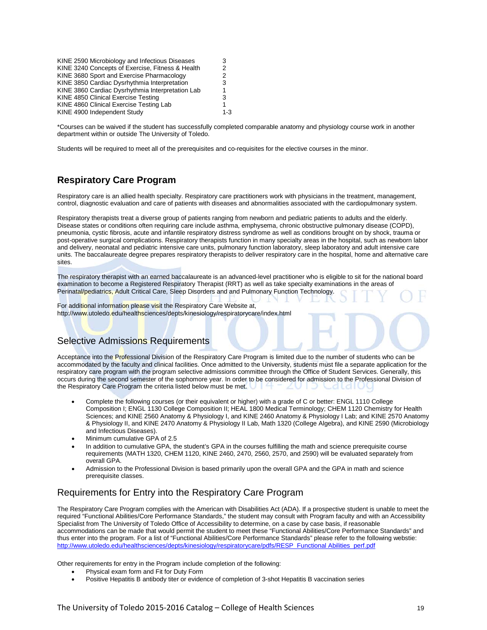| KINE 2590 Microbiology and Infectious Diseases   | 3   |
|--------------------------------------------------|-----|
| KINE 3240 Concepts of Exercise, Fitness & Health | 2   |
| KINE 3680 Sport and Exercise Pharmacology        | 2   |
| KINE 3850 Cardiac Dysrhythmia Interpretation     | 3   |
| KINE 3860 Cardiac Dysrhythmia Interpretation Lab | 1   |
| KINE 4850 Clinical Exercise Testing              | 3   |
| KINE 4860 Clinical Exercise Testing Lab          | 1   |
| KINE 4900 Independent Study                      | 1-3 |

\*Courses can be waived if the student has successfully completed comparable anatomy and physiology course work in another department within or outside The University of Toledo.

Students will be required to meet all of the prerequisites and co-requisites for the elective courses in the minor.

## **Respiratory Care Program**

Respiratory care is an allied health specialty. Respiratory care practitioners work with physicians in the treatment, management, control, diagnostic evaluation and care of patients with diseases and abnormalities associated with the cardiopulmonary system.

Respiratory therapists treat a diverse group of patients ranging from newborn and pediatric patients to adults and the elderly. Disease states or conditions often requiring care include asthma, emphysema, chronic obstructive pulmonary disease (COPD), pneumonia, cystic fibrosis, acute and infantile respiratory distress syndrome as well as conditions brought on by shock, trauma or post-operative surgical complications. Respiratory therapists function in many specialty areas in the hospital, such as newborn labor and delivery, neonatal and pediatric intensive care units, pulmonary function laboratory, sleep laboratory and adult intensive care units. The baccalaureate degree prepares respiratory therapists to deliver respiratory care in the hospital, home and alternative care sites.

The respiratory therapist with an earned baccalaureate is an advanced-level practitioner who is eligible to sit for the national board examination to become a Registered Respiratory Therapist (RRT) as well as take specialty examinations in the areas of Perinatal/pediatrics, Adult Critical Care, Sleep Disorders and and Pulmonary Function Technology.

For additional information please visit the Respiratory Care Website at, http://www.utoledo.edu/healthsciences/depts/kinesiology/respiratorycare/index.html

#### Selective Admissions Requirements

Acceptance into the Professional Division of the Respiratory Care Program is limited due to the number of students who can be accommodated by the faculty and clinical facilities. Once admitted to the University, students must file a separate application for the respiratory care program with the program selective admissions committee through the Office of Student Services. Generally, this occurs during the second semester of the sophomore year. In order to be considered for admission to the Professional Division of the Respiratory Care Program the criteria listed below must be met.

- Complete the following courses (or their equivalent or higher) with a grade of C or better: ENGL 1110 College Composition I; ENGL 1130 College Composition II; HEAL 1800 Medical Terminology; CHEM 1120 Chemistry for Health Sciences; and KINE 2560 Anatomy & Physiology I, and KINE 2460 Anatomy & Physiology I Lab; and KINE 2570 Anatomy & Physiology II, and KINE 2470 Anatomy & Physiology II Lab, Math 1320 (College Algebra), and KINE 2590 (Microbiology and Infectious Diseases).
- Minimum cumulative GPA of 2.5
- In addition to cumulative GPA, the student's GPA in the courses fulfilling the math and science prerequisite course requirements (MATH 1320, CHEM 1120, KINE 2460, 2470, 2560, 2570, and 2590) will be evaluated separately from overall GPA.
- Admission to the Professional Division is based primarily upon the overall GPA and the GPA in math and science prerequisite classes.

#### Requirements for Entry into the Respiratory Care Program

The Respiratory Care Program complies with the American with Disabilities Act (ADA). If a prospective student is unable to meet the required "Functional Abilities/Core Performance Standards," the student may consult with Program faculty and with an Accessibility Specialist from The University of Toledo Office of Accessibility to determine, on a case by case basis, if reasonable accommodations can be made that would permit the student to meet these "Functional Abilities/Core Performance Standards" and thus enter into the program. For a list of "Functional Abilities/Core Performance Standards" please refer to the following webstie: [http://www.utoledo.edu/healthsciences/depts/kinesiology/respiratorycare/pdfs/RESP\\_Functional](http://www.utoledo.edu/healthsciences/depts/kinesiology/respiratorycare/pdfs/RESP_Functional%20Abilities_perf.pdf) Abilities\_perf.pdf

Other requirements for entry in the Program include completion of the following:

- Physical exam form and Fit for Duty Form
- Positive Hepatitis B antibody titer or evidence of completion of 3-shot Hepatitis B vaccination series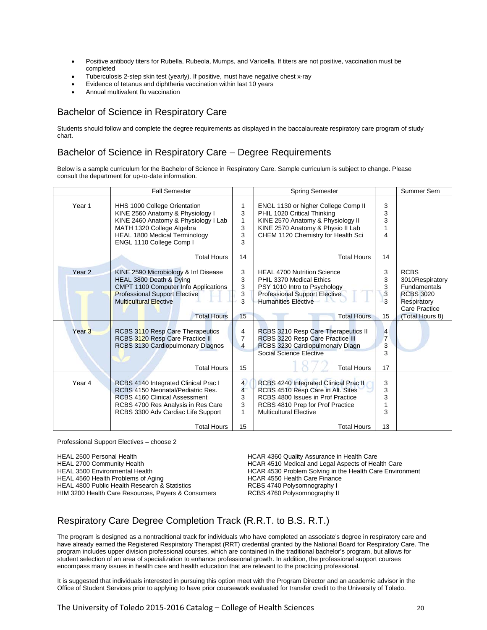- Positive antibody titers for Rubella, Rubeola, Mumps, and Varicella. If titers are not positive, vaccination must be completed
- Tuberculosis 2-step skin test (yearly). If positive, must have negative chest x-ray
- Evidence of tetanus and diphtheria vaccination within last 10 years
- Annual multivalent flu vaccination

## Bachelor of Science in Respiratory Care

Students should follow and complete the degree requirements as displayed in the baccalaureate respiratory care program of study chart.

#### Bachelor of Science in Respiratory Care – Degree Requirements

Below is a sample curriculum for the Bachelor of Science in Respiratory Care. Sample curriculum is subject to change. Please consult the department for up-to-date information.

|                   | <b>Fall Semester</b>                                                                                                                                                                                                |                                                       | <b>Spring Semester</b>                                                                                                                                                                                     |                                     | Summer Sem                                                                                                                   |
|-------------------|---------------------------------------------------------------------------------------------------------------------------------------------------------------------------------------------------------------------|-------------------------------------------------------|------------------------------------------------------------------------------------------------------------------------------------------------------------------------------------------------------------|-------------------------------------|------------------------------------------------------------------------------------------------------------------------------|
| Year 1            | HHS 1000 College Orientation<br>KINE 2560 Anatomy & Physiology I<br>KINE 2460 Anatomy & Physiology I Lab<br>MATH 1320 College Algebra<br><b>HEAL 1800 Medical Terminology</b><br>ENGL 1110 College Comp I           | 1<br>3<br>1<br>3<br>3<br>3                            | ENGL 1130 or higher College Comp II<br>PHIL 1020 Critical Thinking<br>KINE 2570 Anatomy & Physiology II<br>KINE 2570 Anatomy & Physio II Lab<br>CHEM 1120 Chemistry for Health Sci                         | 3<br>3<br>3<br>1<br>4               |                                                                                                                              |
|                   | <b>Total Hours</b>                                                                                                                                                                                                  | 14                                                    | <b>Total Hours</b>                                                                                                                                                                                         | 14                                  |                                                                                                                              |
| Year <sub>2</sub> | KINE 2590 Microbiology & Inf Disease<br>HEAL 3800 Death & Dying<br>CMPT 1100 Computer Info Applications<br><b>Professional Support Elective</b><br><b>Multicultural Elective</b><br><b>Total Hours</b>              | 3<br>3<br>3<br>3<br>3<br>15                           | <b>HEAL 4700 Nutrition Science</b><br>PHIL 3370 Medical Ethics<br>PSY 1010 Intro to Psychology<br><b>Professional Support Elective</b><br><b>Humanities Elective</b><br><b>Total Hours</b>                 | 3<br>3<br>3<br>3<br>3<br>15         | <b>RCBS</b><br>3010Respiratory<br><b>Fundamentals</b><br><b>RCBS 3020</b><br>Respiratory<br>Care Practice<br>(Total Hours 8) |
| Year <sub>3</sub> | RCBS 3110 Resp Care Therapeutics<br>RCBS 3120 Resp Care Practice II<br>RCBS 3130 Cardiopulmonary Diagnos<br><b>Total Hours</b>                                                                                      | 4<br>$\overline{7}$<br>4<br>15                        | RCBS 3210 Resp Care Therapeutics II<br>RCBS 3220 Resp Care Practice III<br>RCBS 3230 Cardiopulmonary Diagn<br>Social Science Elective<br><b>Total Hours</b>                                                | $\overline{4}$<br>7<br>3<br>3<br>17 |                                                                                                                              |
| Year <sub>4</sub> | RCBS 4140 Integrated Clinical Prac I<br>RCBS 4150 Neonatal/Pediatric Res.<br><b>RCBS 4160 Clinical Assessment</b><br>RCBS 4700 Res Analysis in Res Care<br>RCBS 3300 Adv Cardiac Life Support<br><b>Total Hours</b> | $\overline{4}$<br>$\overline{4}$<br>3<br>3<br>1<br>15 | RCBS 4240 Integrated Clinical Prac II<br>RCBS 4510 Resp Care in Alt. Sites<br>RCBS 4800 Issues in Prof Practice<br>RCBS 4810 Prep for Prof Practice<br><b>Multicultural Elective</b><br><b>Total Hours</b> | 3<br>3<br>3<br>1<br>3<br>13         |                                                                                                                              |
|                   |                                                                                                                                                                                                                     |                                                       |                                                                                                                                                                                                            |                                     |                                                                                                                              |

Professional Support Electives – choose 2

HEAL 2500 Personal Health **HEAL 2500 Personal Health Care**<br>HCAR 4510 Medical and Legal Aspects of Health Care HEAL 2700 Community Health HEAL 2700 Community Health Care<br>HCAR 4530 Problem Solving in the Health Care Enviror<br>HCAR 4530 Problem Solving in the Health Care Enviror HEAL 4560 Health Problems of Aging extends the HCAR 4550 Health Care Finance<br>HEAL 4800 Public Health Research & Statistics The RCBS 4740 Polysomnography I HEAL 4800 Public Health Research & Statistics **REAL 4800 Public Health Research & Statistics** RCBS 4740 Polysomnography II<br>HIM 3200 Health Care Resources, Payers & Consumers RCBS 4760 Polysomnography II HIM 3200 Health Care Resources, Payers & Consumers

HCAR 4530 Problem Solving in the Health Care Environment<br>HCAR 4550 Health Care Finance

## Respiratory Care Degree Completion Track (R.R.T. to B.S. R.T.)

The program is designed as a nontraditional track for individuals who have completed an associate's degree in respiratory care and have already earned the Registered Respiratory Therapist (RRT) credential granted by the National Board for Respiratory Care. The program includes upper division professional courses, which are contained in the traditional bachelor's program, but allows for student selection of an area of specialization to enhance professional growth. In addition, the professional support courses encompass many issues in health care and health education that are relevant to the practicing professional.

It is suggested that individuals interested in pursuing this option meet with the Program Director and an academic advisor in the Office of Student Services prior to applying to have prior coursework evaluated for transfer credit to the University of Toledo.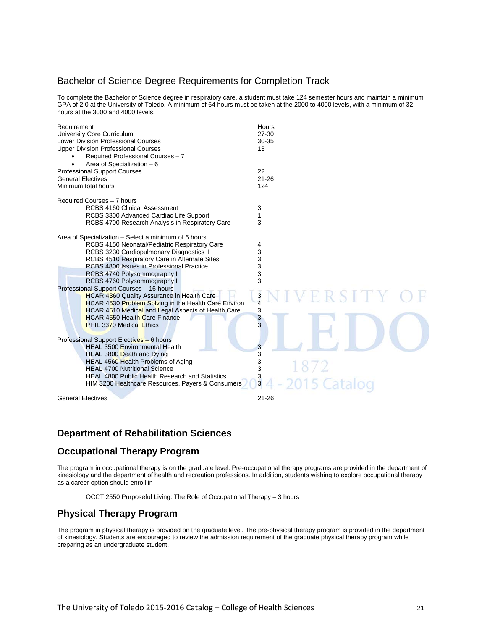#### Bachelor of Science Degree Requirements for Completion Track

To complete the Bachelor of Science degree in respiratory care, a student must take 124 semester hours and maintain a minimum GPA of 2.0 at the University of Toledo. A minimum of 64 hours must be taken at the 2000 to 4000 levels, with a minimum of 32 hours at the 3000 and 4000 levels.

| Requirement<br>University Core Curriculum<br><b>Lower Division Professional Courses</b><br><b>Upper Division Professional Courses</b><br>Required Professional Courses - 7<br>Area of Specialization - 6                                                                                                                                                                                                                                                                                                                                                                                                      | Hours<br>$27 - 30$<br>30-35<br>13                                    |
|---------------------------------------------------------------------------------------------------------------------------------------------------------------------------------------------------------------------------------------------------------------------------------------------------------------------------------------------------------------------------------------------------------------------------------------------------------------------------------------------------------------------------------------------------------------------------------------------------------------|----------------------------------------------------------------------|
| <b>Professional Support Courses</b>                                                                                                                                                                                                                                                                                                                                                                                                                                                                                                                                                                           | 22                                                                   |
| <b>General Electives</b>                                                                                                                                                                                                                                                                                                                                                                                                                                                                                                                                                                                      | $21 - 26$                                                            |
| Minimum total hours                                                                                                                                                                                                                                                                                                                                                                                                                                                                                                                                                                                           | 124                                                                  |
| Required Courses - 7 hours                                                                                                                                                                                                                                                                                                                                                                                                                                                                                                                                                                                    |                                                                      |
| <b>RCBS 4160 Clinical Assessment</b>                                                                                                                                                                                                                                                                                                                                                                                                                                                                                                                                                                          | 3                                                                    |
| RCBS 3300 Advanced Cardiac Life Support                                                                                                                                                                                                                                                                                                                                                                                                                                                                                                                                                                       | 1                                                                    |
| RCBS 4700 Research Analysis in Respiratory Care                                                                                                                                                                                                                                                                                                                                                                                                                                                                                                                                                               | 3                                                                    |
| Area of Specialization – Select a minimum of 6 hours<br>RCBS 4150 Neonatal/Pediatric Respiratory Care<br>RCBS 3230 Cardiopulmonary Diagnostics II<br>RCBS 4510 Respiratory Care in Alternate Sites<br>RCBS 4800 Issues in Professional Practice<br>RCBS 4740 Polysommography I<br>RCBS 4760 Polysommography I<br>Professional Support Courses - 16 hours<br><b>HCAR 4360 Quality Assurance in Health Care</b><br>HCAR 4530 Problem Solving in the Health Care Environ<br><b>HCAR 4510 Medical and Legal Aspects of Health Care</b><br><b>HCAR 4550 Health Care Finance</b><br><b>PHIL 3370 Medical Ethics</b> | 4<br>3<br>3<br>3<br>3<br>3<br>ERSITY<br>$\frac{3}{4}$<br>3<br>3<br>3 |
| Professional Support Electives - 6 hours<br><b>HEAL 3500 Environmental Health</b><br>HEAL 3800 Death and Dying<br>HEAL 4560 Health Problems of Aging<br><b>HEAL 4700 Nutritional Science</b><br><b>HEAL 4800 Public Health Research and Statistics</b><br>HIM 3200 Healthcare Resources, Payers & Consumers                                                                                                                                                                                                                                                                                                   | 3<br>3<br>3<br>1872<br>3<br>$\frac{3}{3}$<br>2015 Catalog            |
| <b>General Electives</b>                                                                                                                                                                                                                                                                                                                                                                                                                                                                                                                                                                                      | $21 - 26$                                                            |

## **Department of Rehabilitation Sciences**

#### **Occupational Therapy Program**

The program in occupational therapy is on the graduate level. Pre-occupational therapy programs are provided in the department of kinesiology and the department of health and recreation professions. In addition, students wishing to explore occupational therapy as a career option should enroll in

OCCT 2550 Purposeful Living: The Role of Occupational Therapy – 3 hours

## **Physical Therapy Program**

The program in physical therapy is provided on the graduate level. The pre-physical therapy program is provided in the department of kinesiology. Students are encouraged to review the admission requirement of the graduate physical therapy program while preparing as an undergraduate student.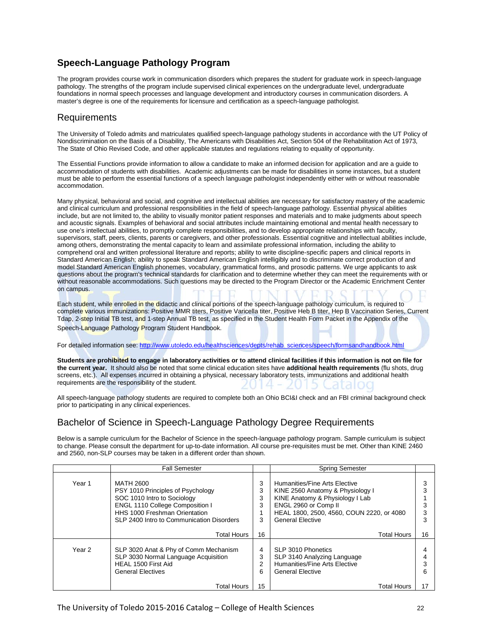## **Speech-Language Pathology Program**

The program provides course work in communication disorders which prepares the student for graduate work in speech-language pathology. The strengths of the program include supervised clinical experiences on the undergraduate level, undergraduate foundations in normal speech processes and language development and introductory courses in communication disorders. A master's degree is one of the requirements for licensure and certification as a speech-language pathologist.

## Requirements

The University of Toledo admits and matriculates qualified speech-language pathology students in accordance with the UT Policy of Nondiscrimination on the Basis of a Disability, The Americans with Disabilities Act, Section 504 of the Rehabilitation Act of 1973, The State of Ohio Revised Code, and other applicable statutes and regulations relating to equality of opportunity.

The Essential Functions provide information to allow a candidate to make an informed decision for application and are a guide to accommodation of students with disabilities. Academic adjustments can be made for disabilities in some instances, but a student must be able to perform the essential functions of a speech language pathologist independently either with or without reasonable accommodation.

Many physical, behavioral and social, and cognitive and intellectual abilities are necessary for satisfactory mastery of the academic and clinical curriculum and professional responsibilities in the field of speech-language pathology. Essential physical abilities include, but are not limited to, the ability to visually monitor patient responses and materials and to make judgments about speech and acoustic signals. Examples of behavioral and social attributes include maintaining emotional and mental health necessary to use one's intellectual abilities, to promptly complete responsibilities, and to develop appropriate relationships with faculty, supervisors, staff, peers, clients, parents or caregivers, and other professionals. Essential cognitive and intellectual abilities include, among others, demonstrating the mental capacity to learn and assimilate professional information, including the ability to comprehend oral and written professional literature and reports; ability to write discipline-specific papers and clinical reports in Standard American English; ability to speak Standard American English intelligibly and to discriminate correct production of and model Standard American English phonemes, vocabulary, grammatical forms, and prosodic patterns. We urge applicants to ask questions about the program's technical standards for clarification and to determine whether they can meet the requirements with or without reasonable accommodations. Such questions may be directed to the Program Director or the Academic Enrichment Center on campus.

Each student, while enrolled in the didactic and clinical portions of the speech-language pathology curriculum, is required to complete various immunizations: Positive MMR titers, Positive Varicella titer, Positive Heb B titer, Hep B Vaccination Series, Current Tdap, 2-step Initial TB test, and 1-step Annual TB test, as specified in the Student Health Form Packet in the Appendix of the Speech-Language Pathology Program Student Handbook.

For detailed information see[: http://www.utoledo.edu/healthsciences/depts/rehab\\_sciences/speech/formsandhandbook.html](http://www.utoledo.edu/healthsciences/depts/rehab_sciences/speech/formsandhandbook.html)

**Students are prohibited to engage in laboratory activities or to attend clinical facilities if this information is not on file for the current year.** It should also be noted that some clinical education sites have **additional health requirements** (flu shots, drug screens, etc.). All expenses incurred in obtaining a physical, necessary laboratory tests, immunizations and additional health requirements are the responsibility of the student.

All speech-language pathology students are required to complete both an Ohio BCI&I check and an FBI criminal background check prior to participating in any clinical experiences.

## Bachelor of Science in Speech-Language Pathology Degree Requirements

Below is a sample curriculum for the Bachelor of Science in the speech-language pathology program. Sample curriculum is subject to change. Please consult the department for up-to-date information. All course pre-requisites must be met. Other than KINE 2460 and 2560, non-SLP courses may be taken in a different order than shown.

|        | <b>Fall Semester</b>                                                                                                                                                                           |                       | <b>Spring Semester</b>                                                                                                                                                                               |    |
|--------|------------------------------------------------------------------------------------------------------------------------------------------------------------------------------------------------|-----------------------|------------------------------------------------------------------------------------------------------------------------------------------------------------------------------------------------------|----|
| Year 1 | MATH 2600<br>PSY 1010 Principles of Psychology<br>SOC 1010 Intro to Sociology<br>ENGL 1110 College Composition I<br>HHS 1000 Freshman Orientation<br>SLP 2400 Intro to Communication Disorders | 3<br>3<br>3<br>3<br>3 | Humanities/Fine Arts Elective<br>KINE 2560 Anatomy & Physiology I<br>KINE Anatomy & Physiology I Lab<br>ENGL 2960 or Comp II<br>HEAL 1800, 2500, 4560, COUN 2220, or 4080<br><b>General Elective</b> |    |
|        | <b>Total Hours</b>                                                                                                                                                                             | 16                    | <b>Total Hours</b>                                                                                                                                                                                   | 16 |
| Year 2 | SLP 3020 Anat & Phy of Comm Mechanism<br>SLP 3030 Normal Language Acquisition<br>HEAL 1500 First Aid<br><b>General Electives</b>                                                               | 4<br>3<br>2<br>6      | SLP 3010 Phonetics<br>SLP 3140 Analyzing Language<br>Humanities/Fine Arts Elective<br><b>General Elective</b>                                                                                        | 6  |
|        | <b>Total Hours</b>                                                                                                                                                                             | 15                    | <b>Total Hours</b>                                                                                                                                                                                   | 17 |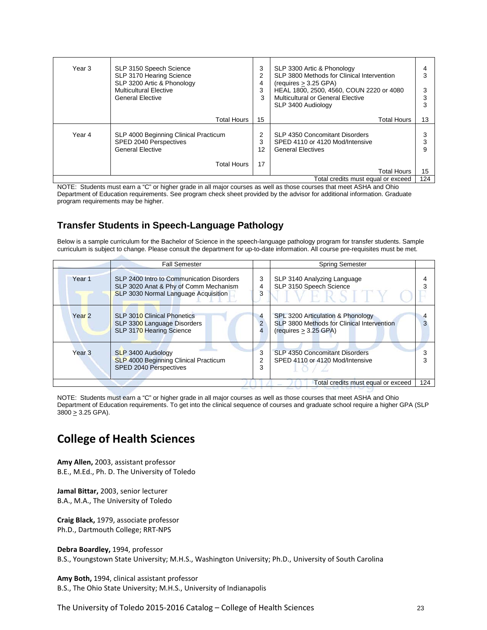| Year 3 | SLP 3150 Speech Science<br>SLP 3170 Hearing Science<br>SLP 3200 Artic & Phonology<br><b>Multicultural Elective</b><br><b>General Elective</b> | 3<br>4<br>3<br>3 | SLP 3300 Artic & Phonology<br>SLP 3800 Methods for Clinical Intervention<br>(requires > 3.25 GPA)<br>HEAL 1800, 2500, 4560, COUN 2220 or 4080<br>Multicultural or General Elective<br>SLP 3400 Audiology |     |
|--------|-----------------------------------------------------------------------------------------------------------------------------------------------|------------------|----------------------------------------------------------------------------------------------------------------------------------------------------------------------------------------------------------|-----|
|        | <b>Total Hours</b>                                                                                                                            | 15               | <b>Total Hours</b>                                                                                                                                                                                       | 13  |
| Year 4 | SLP 4000 Beginning Clinical Practicum<br>SPED 2040 Perspectives<br><b>General Elective</b>                                                    | 3<br>12          | SLP 4350 Concomitant Disorders<br>SPED 4110 or 4120 Mod/Intensive<br><b>General Electives</b>                                                                                                            |     |
|        | <b>Total Hours</b>                                                                                                                            | 17               | <b>Total Hours</b>                                                                                                                                                                                       | 15  |
|        |                                                                                                                                               |                  | Total credits must equal or exceed                                                                                                                                                                       | 124 |

NOTE: Students must earn a "C" or higher grade in all major courses as well as those courses that meet ASHA and Ohio Department of Education requirements. See program check sheet provided by the advisor for additional information. Graduate program requirements may be higher.

## **Transfer Students in Speech-Language Pathology**

Below is a sample curriculum for the Bachelor of Science in the speech-language pathology program for transfer students. Sample curriculum is subject to change. Please consult the department for up-to-date information. All course pre-requisites must be met.

|                   | <b>Fall Semester</b>                                                                                                       |        | <b>Spring Semester</b>                                                                                   |     |
|-------------------|----------------------------------------------------------------------------------------------------------------------------|--------|----------------------------------------------------------------------------------------------------------|-----|
| Year <sub>1</sub> | SLP 2400 Intro to Communication Disorders<br>SLP 3020 Anat & Phy of Comm Mechanism<br>SLP 3030 Normal Language Acquisition | 3<br>4 | SLP 3140 Analyzing Language<br>SLP 3150 Speech Science                                                   |     |
| Year <sub>2</sub> | SLP 3010 Clinical Phonetics<br>SLP 3300 Language Disorders<br>SLP 3170 Hearing Science                                     | 4      | SPL 3200 Articulation & Phonology<br>SLP 3800 Methods for Clinical Intervention<br>(requires > 3.25 GPA) |     |
| Year <sub>3</sub> | SLP 3400 Audiology<br><b>SLP 4000 Beginning Clinical Practicum</b><br>SPED 2040 Perspectives                               |        | SLP 4350 Concomitant Disorders<br>SPED 4110 or 4120 Mod/Intensive                                        |     |
|                   |                                                                                                                            |        | Total credits must equal or exceed                                                                       | 124 |

NOTE: Students must earn a "C" or higher grade in all major courses as well as those courses that meet ASHA and Ohio Department of Education requirements. To get into the clinical sequence of courses and graduate school require a higher GPA (SLP  $3800 \geq 3.25$  GPA).

# **College of Health Sciences**

**Amy Allen,** 2003, assistant professor B.E., M.Ed., Ph. D. The University of Toledo

**Jamal Bittar,** 2003, senior lecturer B.A., M.A., The University of Toledo

**Craig Black,** 1979, associate professor Ph.D., Dartmouth College; RRT-NPS

**Debra Boardley,** 1994, professor B.S., Youngstown State University; M.H.S., Washington University; Ph.D., University of South Carolina

**Amy Both,** 1994, clinical assistant professor B.S., The Ohio State University; M.H.S., University of Indianapolis

The University of Toledo 2015-2016 Catalog – College of Health Sciences 23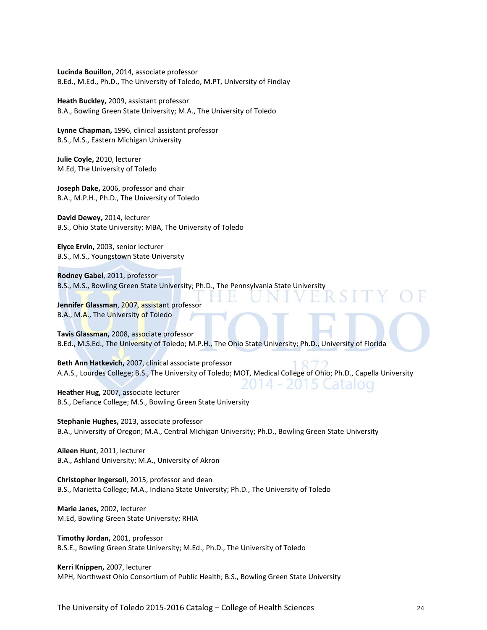**Lucinda Bouillon,** 2014, associate professor B.Ed., M.Ed., Ph.D., The University of Toledo, M.PT, University of Findlay

**Heath Buckley,** 2009, assistant professor B.A., Bowling Green State University; M.A., The University of Toledo

**Lynne Chapman,** 1996, clinical assistant professor B.S., M.S., Eastern Michigan University

**Julie Coyle,** 2010, lecturer M.Ed, The University of Toledo

**Joseph Dake,** 2006, professor and chair B.A., M.P.H., Ph.D., The University of Toledo

**David Dewey,** 2014, lecturer B.S., Ohio State University; MBA, The University of Toledo

**Elyce Ervin,** 2003, senior lecturer B.S., M.S., Youngstown State University

**Rodney Gabel**, 2011, professor B.S., M.S., Bowling Green State University; Ph.D., The Pennsylvania State University

**Jennifer Glassman**, 2007, assistant professor B.A., M.A., The University of Toledo

**Tavis Glassman,** 2008, associate professor B.Ed., M.S.Ed., The University of Toledo; M.P.H., The Ohio State University; Ph.D., University of Florida

**Beth Ann Hatkevich,** 2007, clinical associate professor A.A.S., Lourdes College; B.S., The University of Toledo; MOT, Medical College of Ohio; Ph.D., Capella University

2014 - 2015 Catalog **Heather Hug,** 2007, associate lecturer B.S., Defiance College; M.S., Bowling Green State University

**Stephanie Hughes,** 2013, associate professor B.A., University of Oregon; M.A., Central Michigan University; Ph.D., Bowling Green State University

**Aileen Hunt**, 2011, lecturer B.A., Ashland University; M.A., University of Akron

**Christopher Ingersoll**, 2015, professor and dean B.S., Marietta College; M.A., Indiana State University; Ph.D., The University of Toledo

**Marie Janes,** 2002, lecturer M.Ed, Bowling Green State University; RHIA

**Timothy Jordan,** 2001, professor B.S.E., Bowling Green State University; M.Ed., Ph.D., The University of Toledo

**Kerri Knippen,** 2007, lecturer MPH, Northwest Ohio Consortium of Public Health; B.S., Bowling Green State University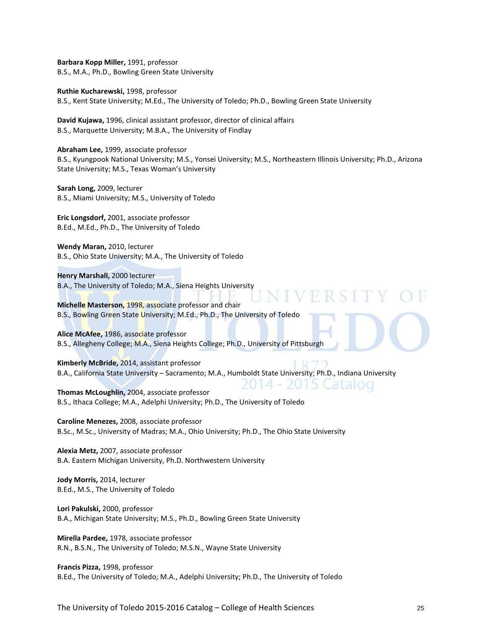**Barbara Kopp Miller,** 1991, professor B.S., M.A., Ph.D., Bowling Green State University

**Ruthie Kucharewski,** 1998, professor B.S., Kent State University; M.Ed., The University of Toledo; Ph.D., Bowling Green State University

**David Kujawa,** 1996, clinical assistant professor, director of clinical affairs B.S., Marquette University; M.B.A., The University of Findlay

**Abraham Lee,** 1999, associate professor B.S., Kyungpook National University; M.S., Yonsei University; M.S., Northeastern Illinois University; Ph.D., Arizona State University; M.S., Texas Woman's University

**Sarah Long,** 2009, lecturer B.S., Miami University; M.S., University of Toledo

**Eric Longsdorf,** 2001, associate professor B.Ed., M.Ed., Ph.D., The University of Toledo

**Wendy Maran,** 2010, lecturer B.S., Ohio State University; M.A., The University of Toledo

**Henry Marshall,** 2000 lecturer B.A., The University of Toledo; M.A., Siena Heights University

**Michelle Masterson,** 1998, associate professor and chair B.S., Bowling Green State University; M.Ed., Ph.D., The University of Toledo

**Alice McAfee,** 1986, associate professor B.S., Allegheny College; M.A., Siena Heights College; Ph.D., University of Pittsburgh

**Kimberly McBride,** 2014, assistant professor B.A., California State University – Sacramento; M.A., Humboldt State University; Ph.D., Indiana University

2014 - 2015 Catalog **Thomas McLoughlin,** 2004, associate professor B.S., Ithaca College; M.A., Adelphi University; Ph.D., The University of Toledo

**Caroline Menezes,** 2008, associate professor B.Sc., M.Sc., University of Madras; M.A., Ohio University; Ph.D., The Ohio State University

**Alexia Metz,** 2007, associate professor B.A. Eastern Michigan University, Ph.D. Northwestern University

**Jody Morris,** 2014, lecturer B.Ed., M.S., The University of Toledo

**Lori Pakulski,** 2000, professor B.A., Michigan State University; M.S., Ph.D., Bowling Green State University

**Mirella Pardee,** 1978, associate professor R.N., B.S.N., The University of Toledo; M.S.N., Wayne State University

**Francis Pizza,** 1998, professor B.Ed., The University of Toledo; M.A., Adelphi University; Ph.D., The University of Toledo

The University of Toledo 2015-2016 Catalog – College of Health Sciences 25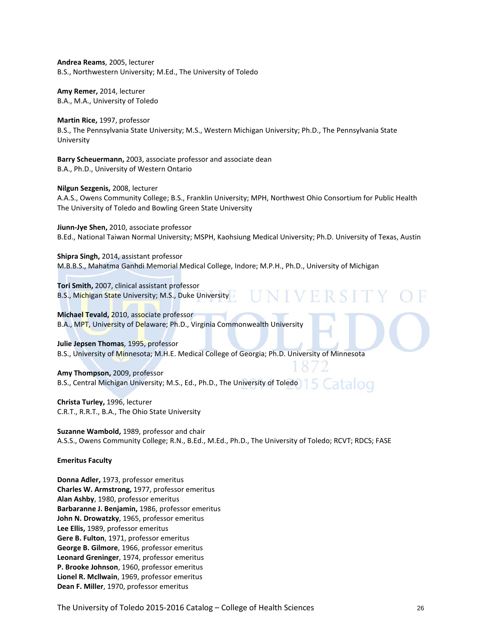**Andrea Reams**, 2005, lecturer B.S., Northwestern University; M.Ed., The University of Toledo

**Amy Remer,** 2014, lecturer B.A., M.A., University of Toledo

**Martin Rice,** 1997, professor B.S., The Pennsylvania State University; M.S., Western Michigan University; Ph.D., The Pennsylvania State University

**Barry Scheuermann,** 2003, associate professor and associate dean B.A., Ph.D., University of Western Ontario

**Nilgun Sezgenis,** 2008, lecturer

A.A.S., Owens Community College; B.S., Franklin University; MPH, Northwest Ohio Consortium for Public Health The University of Toledo and Bowling Green State University

**Jiunn-Jye Shen,** 2010, associate professor B.Ed., National Taiwan Normal University; MSPH, Kaohsiung Medical University; Ph.D. University of Texas, Austin

**Shipra Singh,** 2014, assistant professor M.B.B.S., Mahatma Ganhdi Memorial Medical College, Indore; M.P.H., Ph.D., University of Michigan

**Tori Smith,** 2007, clinical assistant professor B.S., Michigan State University; M.S., Duke University-

**Michael Tevald,** 2010, associate professor B.A., MPT, University of Delaware; Ph.D., Virginia Commonwealth University

**Julie Jepsen Thomas**, 1995, professor B.S., University of Minnesota; M.H.E. Medical College of Georgia; Ph.D. University of Minnesota

**Amy Thompson,** 2009, professor B.S., Central Michigan University; M.S., Ed., Ph.D., The University of Toledo atalog

**Christa Turley,** 1996, lecturer C.R.T., R.R.T., B.A., The Ohio State University

**Suzanne Wambold,** 1989, professor and chair A.S.S., Owens Community College; R.N., B.Ed., M.Ed., Ph.D., The University of Toledo; RCVT; RDCS; FASE

**Emeritus Faculty**

**Donna Adler,** 1973, professor emeritus **Charles W. Armstrong,** 1977, professor emeritus **Alan Ashby**, 1980, professor emeritus **Barbaranne J. Benjamin,** 1986, professor emeritus **John N. Drowatzky**, 1965, professor emeritus **Lee Ellis,** 1989, professor emeritus **Gere B. Fulton**, 1971, professor emeritus **George B. Gilmore**, 1966, professor emeritus **Leonard Greninger**, 1974, professor emeritus **P. Brooke Johnson**, 1960, professor emeritus **Lionel R. Mcllwain**, 1969, professor emeritus **Dean F. Miller**, 1970, professor emeritus